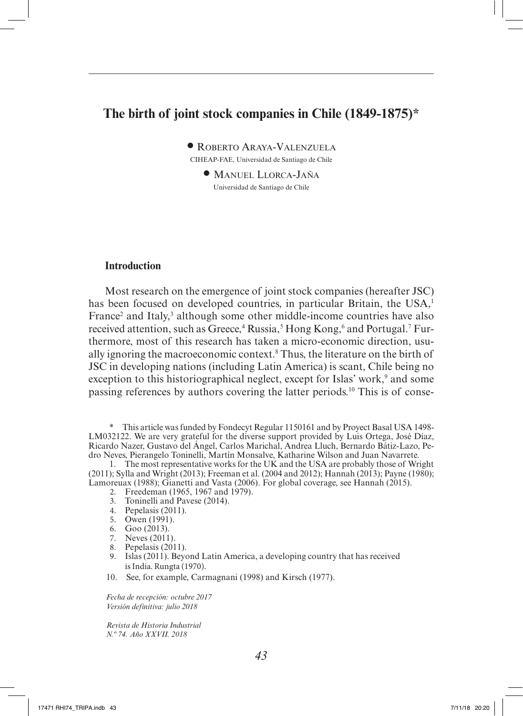# **The birth of joint stock companies in Chile (1849-1875)\***

• Roberto Araya-Valenzuela

CIHEAP-FAE, Universidad de Santiago de Chile

• Manuel Llorca-Jaña Universidad de Santiago de Chile

## **Introduction**

Most research on the emergence of joint stock companies (hereafter JSC) has been focused on developed countries, in particular Britain, the USA,<sup>1</sup> France<sup>2</sup> and Italy,<sup>3</sup> although some other middle-income countries have also received attention, such as Greece,<sup>4</sup> Russia,<sup>5</sup> Hong Kong,<sup>6</sup> and Portugal.<sup>7</sup> Furthermore, most of this research has taken a micro-economic direction, usually ignoring the macroeconomic context.8 Thus, the literature on the birth of JSC in developing nations (including Latin America) is scant, Chile being no exception to this historiographical neglect, except for Islas' work,<sup>9</sup> and some passing references by authors covering the latter periods.10 This is of conse-

\* This article was funded by Fondecyt Regular 1150161 and by Proyect Basal USA 1498- LM032122. We are very grateful for the diverse support provided by Luis Ortega, José Díaz, Ricardo Nazer, Gustavo del Ángel, Carlos Marichal, Andrea Lluch, Bernardo Bátiz-Lazo, Pedro Neves, Pierangelo Toninelli, Martín Monsalve, Katharine Wilson and Juan Navarrete.

1. The most representative works for the UK and the USA are probably those of Wright (2011); Sylla and Wright (2013); Freeman et al. (2004 and 2012); Hannah (2013); Payne (1980); Lamoreuax (1988); Gianetti and Vasta (2006). For global coverage, see Hannah (2015).

- 2. Freedeman (1965, 1967 and 1979).
- 3. Toninelli and Pavese (2014).
- 4. Pepelasis (2011).
- 5. Owen (1991).
- 6. Goo (2013).
- 7. Neves (2011).
- 8. Pepelasis (2011).
- 9. Islas (2011). Beyond Latin America, a developing country that has received isIndia. Rungta (1970).
- 10. See, for example, Carmagnani (1998) and Kirsch (1977).

*Fecha de recepción: octubre 2017 Versión definitiva: julio 2018*

*Revista de Historia Industrial N.º 74. Año XXVII. 2018*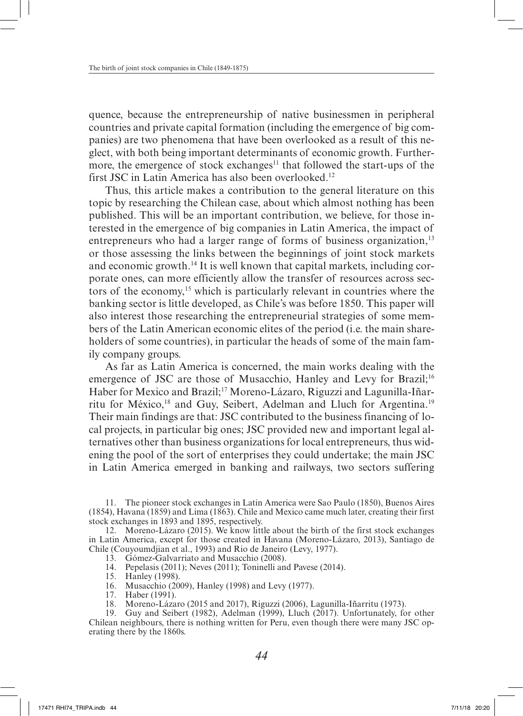quence, because the entrepreneurship of native businessmen in peripheral countries and private capital formation (including the emergence of big companies) are two phenomena that have been overlooked as a result of this neglect, with both being important determinants of economic growth. Furthermore, the emergence of stock exchanges<sup>11</sup> that followed the start-ups of the first JSC in Latin America has also been overlooked.<sup>12</sup>

Thus, this article makes a contribution to the general literature on this topic by researching the Chilean case, about which almost nothing has been published. This will be an important contribution, we believe, for those interested in the emergence of big companies in Latin America, the impact of entrepreneurs who had a larger range of forms of business organization,<sup>13</sup> or those assessing the links between the beginnings of joint stock markets and economic growth.14 It is well known that capital markets, including corporate ones, can more efficiently allow the transfer of resources across sectors of the economy,15 which is particularly relevant in countries where the banking sector is little developed, as Chile's was before 1850. This paper will also interest those researching the entrepreneurial strategies of some members of the Latin American economic elites of the period (i.e. the main shareholders of some countries), in particular the heads of some of the main family company groups.

As far as Latin America is concerned, the main works dealing with the emergence of JSC are those of Musacchio, Hanley and Levy for Brazil;<sup>16</sup> Haber for Mexico and Brazil;<sup>17</sup> Moreno-Lázaro, Riguzzi and Lagunilla-Iñarritu for México,<sup>18</sup> and Guy, Seibert, Adelman and Lluch for Argentina.<sup>19</sup> Their main findings are that: JSC contributed to the business financing of local projects, in particular big ones; JSC provided new and important legal alternatives other than business organizations for local entrepreneurs, thus widening the pool of the sort of enterprises they could undertake; the main JSC in Latin America emerged in banking and railways, two sectors suffering

11. The pioneer stock exchanges in Latin America were Sao Paulo (1850), Buenos Aires (1854), Havana (1859) and Lima (1863). Chile and Mexico came much later, creating their first stock exchanges in 1893 and 1895, respectively.

12. Moreno-Lázaro (2015). We know little about the birth of the first stock exchanges in Latin America, except for those created in Havana (Moreno-Lázaro, 2013), Santiago de Chile (Couyoumdjian et al., 1993) and Rio de Janeiro (Levy, 1977).

13. Gómez-Galvarriato and Musacchio (2008).

14. Pepelasis (2011); Neves (2011); Toninelli and Pavese (2014).

15. Hanley (1998).

16. Musacchio (2009), Hanley (1998) and Levy (1977).

17. Haber (1991).

18. Moreno-Lázaro (2015 and 2017), Riguzzi (2006), Lagunilla-Iñarritu (1973).

19. Guy and Seibert (1982), Adelman (1999), Lluch (2017). Unfortunately, for other Chilean neighbours, there is nothing written for Peru, even though there were many JSC operating there by the 1860s.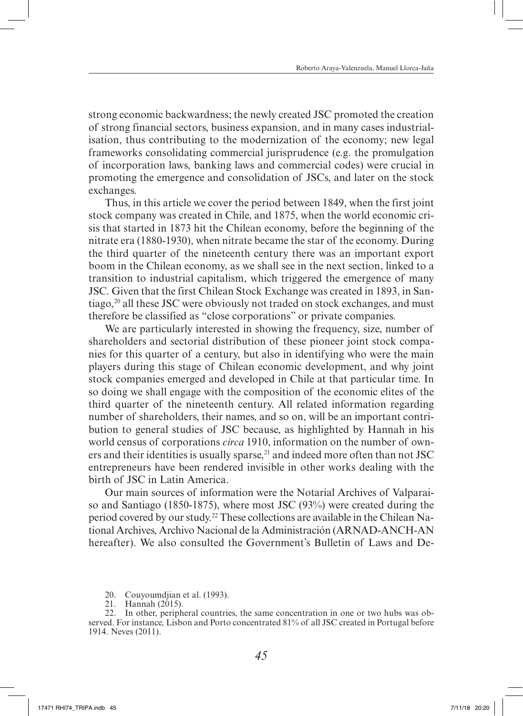strong economic backwardness; the newly created JSC promoted the creation of strong financial sectors, business expansion, and in many cases industrialisation, thus contributing to the modernization of the economy; new legal frameworks consolidating commercial jurisprudence (e.g. the promulgation of incorporation laws, banking laws and commercial codes) were crucial in promoting the emergence and consolidation of JSCs, and later on the stock exchanges.

Thus, in this article we cover the period between 1849, when the first joint stock company was created in Chile, and 1875, when the world economic crisis that started in 1873 hit the Chilean economy, before the beginning of the nitrate era (1880-1930), when nitrate became the star of the economy. During the third quarter of the nineteenth century there was an important export boom in the Chilean economy, as we shall see in the next section, linked to a transition to industrial capitalism, which triggered the emergence of many JSC. Given that the first Chilean Stock Exchange was created in 1893, in Santiago,<sup>20</sup> all these JSC were obviously not traded on stock exchanges, and must therefore be classified as "close corporations" or private companies.

We are particularly interested in showing the frequency, size, number of shareholders and sectorial distribution of these pioneer joint stock companies for this quarter of a century, but also in identifying who were the main players during this stage of Chilean economic development, and why joint stock companies emerged and developed in Chile at that particular time. In so doing we shall engage with the composition of the economic elites of the third quarter of the nineteenth century. All related information regarding number of shareholders, their names, and so on, will be an important contribution to general studies of JSC because, as highlighted by Hannah in his world census of corporations *circa* 1910, information on the number of owners and their identities is usually sparse, $21$  and indeed more often than not JSC entrepreneurs have been rendered invisible in other works dealing with the birth of JSC in Latin America.

Our main sources of information were the Notarial Archives of Valparaiso and Santiago (1850-1875), where most JSC (93%) were created during the period covered by our study.22 These collections are available in the Chilean National Archives, Archivo Nacional de la Administración (ARNAD-ANCH-AN hereafter). We also consulted the Government's Bulletin of Laws and De-

- 20. Couyoumdjian et al. (1993).
- 21. Hannah (2015).

<sup>22.</sup> In other, peripheral countries, the same concentration in one or two hubs was observed. For instance, Lisbon and Porto concentrated 81% of all JSC created in Portugal before 1914. Neves (2011).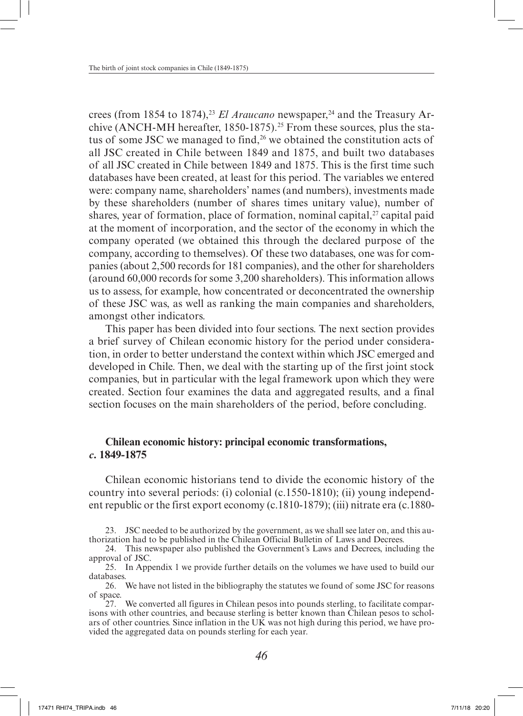crees (from 1854 to 1874),<sup>23</sup> *El Araucano* newspaper,<sup>24</sup> and the Treasury Archive (ANCH-MH hereafter, 1850-1875).<sup>25</sup> From these sources, plus the status of some JSC we managed to find,<sup>26</sup> we obtained the constitution acts of all JSC created in Chile between 1849 and 1875, and built two databases of all JSC created in Chile between 1849 and 1875. This is the first time such databases have been created, at least for this period. The variables we entered were: company name, shareholders' names (and numbers), investments made by these shareholders (number of shares times unitary value), number of shares, year of formation, place of formation, nominal capital, $27$  capital paid at the moment of incorporation, and the sector of the economy in which the company operated (we obtained this through the declared purpose of the company, according to themselves). Of these two databases, one was for companies (about 2,500 records for 181 companies), and the other for shareholders (around 60,000 records for some 3,200 shareholders). This information allows us to assess, for example, how concentrated or deconcentrated the ownership of these JSC was, as well as ranking the main companies and shareholders, amongst other indicators.

This paper has been divided into four sections. The next section provides a brief survey of Chilean economic history for the period under consideration, in order to better understand the context within which JSC emerged and developed in Chile. Then, we deal with the starting up of the first joint stock companies, but in particular with the legal framework upon which they were created. Section four examines the data and aggregated results, and a final section focuses on the main shareholders of the period, before concluding.

# **Chilean economic history: principal economic transformations,**  *c***. 1849-1875**

Chilean economic historians tend to divide the economic history of the country into several periods: (i) colonial (c.1550-1810); (ii) young independent republic or the first export economy (c.1810-1879); (iii) nitrate era (c.1880-

<sup>23.</sup> JSC needed to be authorized by the government, as we shall see later on, and this authorization had to be published in the Chilean Official Bulletin of Laws and Decrees.

<sup>24.</sup> This newspaper also published the Government's Laws and Decrees, including the approval of JSC.

<sup>25.</sup> In Appendix 1 we provide further details on the volumes we have used to build our databases.

<sup>26.</sup> We have not listed in the bibliography the statutes we found of some JSC for reasons of space.

<sup>27.</sup> We converted all figures in Chilean pesos into pounds sterling, to facilitate comparisons with other countries, and because sterling is better known than Chilean pesos to scholars of other countries. Since inflation in the UK was not high during this period, we have provided the aggregated data on pounds sterling for each year.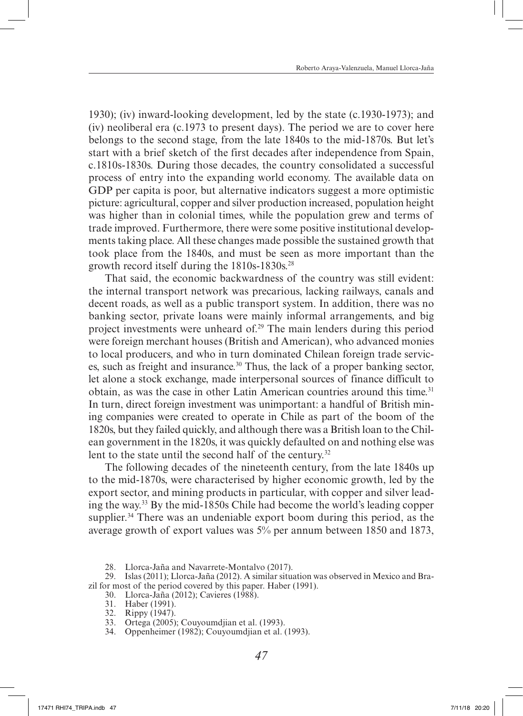1930); (iv) inward-looking development, led by the state (c.1930-1973); and (iv) neoliberal era (c.1973 to present days). The period we are to cover here belongs to the second stage, from the late 1840s to the mid-1870s. But let's start with a brief sketch of the first decades after independence from Spain, c.1810s-1830s. During those decades, the country consolidated a successful process of entry into the expanding world economy. The available data on GDP per capita is poor, but alternative indicators suggest a more optimistic picture: agricultural, copper and silver production increased, population height was higher than in colonial times, while the population grew and terms of trade improved. Furthermore, there were some positive institutional developments taking place. All these changes made possible the sustained growth that took place from the 1840s, and must be seen as more important than the growth record itself during the  $1810s-1830s$ <sup>28</sup>

That said, the economic backwardness of the country was still evident: the internal transport network was precarious, lacking railways, canals and decent roads, as well as a public transport system. In addition, there was no banking sector, private loans were mainly informal arrangements, and big project investments were unheard of.29 The main lenders during this period were foreign merchant houses (British and American), who advanced monies to local producers, and who in turn dominated Chilean foreign trade services, such as freight and insurance.30 Thus, the lack of a proper banking sector, let alone a stock exchange, made interpersonal sources of finance difficult to obtain, as was the case in other Latin American countries around this time.<sup>31</sup> In turn, direct foreign investment was unimportant: a handful of British mining companies were created to operate in Chile as part of the boom of the 1820s, but they failed quickly, and although there was a British loan to the Chilean government in the 1820s, it was quickly defaulted on and nothing else was lent to the state until the second half of the century.<sup>32</sup>

The following decades of the nineteenth century, from the late 1840s up to the mid-1870s, were characterised by higher economic growth, led by the export sector, and mining products in particular, with copper and silver leading the way.33 By the mid-1850s Chile had become the world's leading copper supplier.<sup>34</sup> There was an undeniable export boom during this period, as the average growth of export values was 5% per annum between 1850 and 1873,

28. Llorca-Jaña and Navarrete-Montalvo (2017).

29. Islas (2011); Llorca-Jaña (2012). A similar situation was observed in Mexico and Brazil for most of the period covered by this paper. Haber (1991).

- 30. Llorca-Jaña (2012); Cavieres (1988).
- 31. Haber (1991).

- 33. Ortega (2005); Couyoumdjian et al. (1993).
- 34. Oppenheimer (1982); Couyoumdjian et al. (1993).

<sup>32.</sup> Rippy (1947).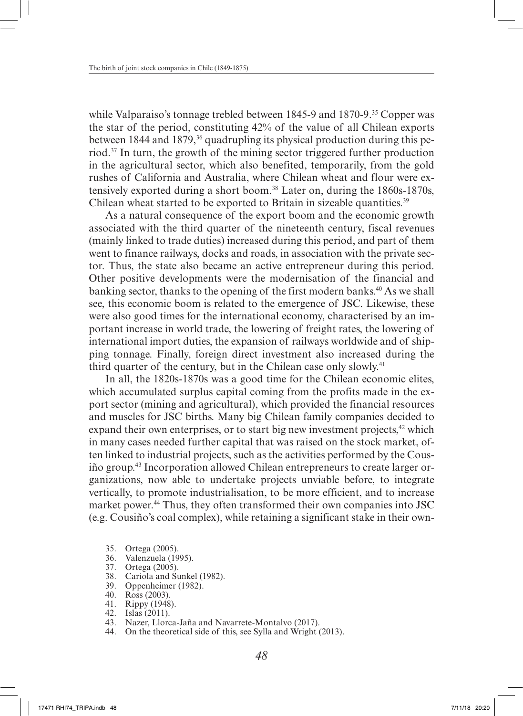while Valparaiso's tonnage trebled between 1845-9 and 1870-9.<sup>35</sup> Copper was the star of the period, constituting 42% of the value of all Chilean exports between 1844 and 1879,<sup>36</sup> quadrupling its physical production during this period.37 In turn, the growth of the mining sector triggered further production in the agricultural sector, which also benefited, temporarily, from the gold rushes of California and Australia, where Chilean wheat and flour were extensively exported during a short boom.38 Later on, during the 1860s-1870s, Chilean wheat started to be exported to Britain in sizeable quantities.<sup>39</sup>

As a natural consequence of the export boom and the economic growth associated with the third quarter of the nineteenth century, fiscal revenues (mainly linked to trade duties) increased during this period, and part of them went to finance railways, docks and roads, in association with the private sector. Thus, the state also became an active entrepreneur during this period. Other positive developments were the modernisation of the financial and banking sector, thanks to the opening of the first modern banks.<sup>40</sup> As we shall see, this economic boom is related to the emergence of JSC. Likewise, these were also good times for the international economy, characterised by an important increase in world trade, the lowering of freight rates, the lowering of international import duties, the expansion of railways worldwide and of shipping tonnage. Finally, foreign direct investment also increased during the third quarter of the century, but in the Chilean case only slowly.41

In all, the 1820s-1870s was a good time for the Chilean economic elites, which accumulated surplus capital coming from the profits made in the export sector (mining and agricultural), which provided the financial resources and muscles for JSC births. Many big Chilean family companies decided to expand their own enterprises, or to start big new investment projects, $42$  which in many cases needed further capital that was raised on the stock market, often linked to industrial projects, such as the activities performed by the Cousiño group.43 Incorporation allowed Chilean entrepreneurs to create larger organizations, now able to undertake projects unviable before, to integrate vertically, to promote industrialisation, to be more efficient, and to increase market power.<sup>44</sup> Thus, they often transformed their own companies into JSC (e.g. Cousiño's coal complex), while retaining a significant stake in their own-

- 35. Ortega (2005).
- 36. Valenzuela (1995).
- 37. Ortega (2005).
- 38. Cariola and Sunkel (1982).
- 39. Oppenheimer (1982).
- 40. Ross (2003).
- 41. Rippy (1948).
- 42. Islas (2011).
- 43. Nazer, Llorca-Jaña and Navarrete-Montalvo (2017).
- 44. On the theoretical side of this, see Sylla and Wright (2013).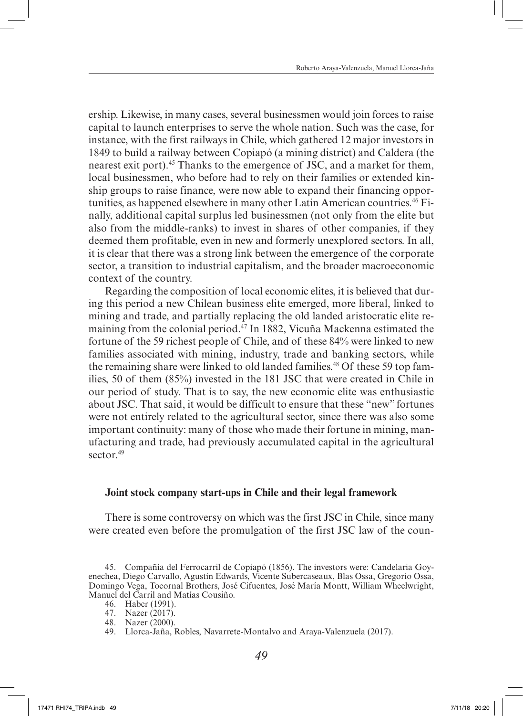ership. Likewise, in many cases, several businessmen would join forces to raise capital to launch enterprises to serve the whole nation. Such was the case, for instance, with the first railways in Chile, which gathered 12 major investors in 1849 to build a railway between Copiapó (a mining district) and Caldera (the nearest exit port).<sup>45</sup> Thanks to the emergence of JSC, and a market for them, local businessmen, who before had to rely on their families or extended kinship groups to raise finance, were now able to expand their financing opportunities, as happened elsewhere in many other Latin American countries.46 Finally, additional capital surplus led businessmen (not only from the elite but also from the middle-ranks) to invest in shares of other companies, if they deemed them profitable, even in new and formerly unexplored sectors. In all, it is clear that there was a strong link between the emergence of the corporate sector, a transition to industrial capitalism, and the broader macroeconomic context of the country.

Regarding the composition of local economic elites, it is believed that during this period a new Chilean business elite emerged, more liberal, linked to mining and trade, and partially replacing the old landed aristocratic elite remaining from the colonial period.47 In 1882, Vicuña Mackenna estimated the fortune of the 59 richest people of Chile, and of these 84% were linked to new families associated with mining, industry, trade and banking sectors, while the remaining share were linked to old landed families.<sup>48</sup> Of these 59 top families, 50 of them (85%) invested in the 181 JSC that were created in Chile in our period of study. That is to say, the new economic elite was enthusiastic about JSC. That said, it would be difficult to ensure that these "new" fortunes were not entirely related to the agricultural sector, since there was also some important continuity: many of those who made their fortune in mining, manufacturing and trade, had previously accumulated capital in the agricultural sector  $49$ 

### **Joint stock company start-ups in Chile and their legal framework**

There is some controversy on which was the first JSC in Chile, since many were created even before the promulgation of the first JSC law of the coun-

- 46. Haber (1991).
- 47. Nazer (2017).
- 48. Nazer (2000).

<sup>45.</sup> Compañía del Ferrocarril de Copiapó (1856). The investors were: Candelaria Goyenechea, Diego Carvallo, Agustín Edwards, Vicente Subercaseaux, Blas Ossa, Gregorio Ossa, Domingo Vega, Tocornal Brothers, José Cifuentes, José María Montt, William Wheelwright, Manuel del Carril and Matías Cousiño.

<sup>49.</sup> Llorca-Jaña, Robles, Navarrete-Montalvo and Araya-Valenzuela (2017).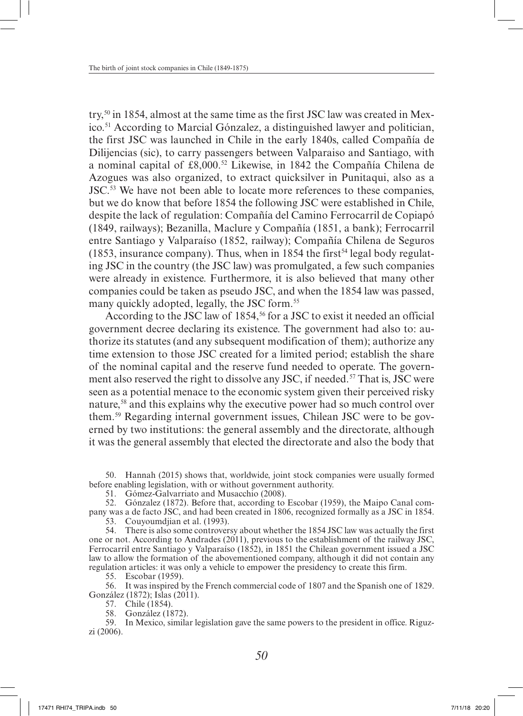try,50 in 1854, almost at the same time as the first JSC law was created in Mexico.51 According to Marcial Gónzalez, a distinguished lawyer and politician, the first JSC was launched in Chile in the early 1840s, called Compañía de Dilijencias (sic), to carry passengers between Valparaiso and Santiago, with a nominal capital of £8,000.52 Likewise, in 1842 the Compañía Chilena de Azogues was also organized, to extract quicksilver in Punitaqui, also as a JSC.53 We have not been able to locate more references to these companies, but we do know that before 1854 the following JSC were established in Chile, despite the lack of regulation: Compañía del Camino Ferrocarril de Copiapó (1849, railways); Bezanilla, Maclure y Compañía (1851, a bank); Ferrocarril entre Santiago y Valparaíso (1852, railway); Compañía Chilena de Seguros  $(1853,$  insurance company). Thus, when in 1854 the first<sup>54</sup> legal body regulating JSC in the country (the JSC law) was promulgated, a few such companies were already in existence. Furthermore, it is also believed that many other companies could be taken as pseudo JSC, and when the 1854 law was passed, many quickly adopted, legally, the JSC form.<sup>55</sup>

According to the JSC law of 1854,<sup>56</sup> for a JSC to exist it needed an official government decree declaring its existence. The government had also to: authorize its statutes (and any subsequent modification of them); authorize any time extension to those JSC created for a limited period; establish the share of the nominal capital and the reserve fund needed to operate. The government also reserved the right to dissolve any JSC, if needed.<sup>57</sup> That is, JSC were seen as a potential menace to the economic system given their perceived risky nature,<sup>58</sup> and this explains why the executive power had so much control over them.59 Regarding internal government issues, Chilean JSC were to be governed by two institutions: the general assembly and the directorate, although it was the general assembly that elected the directorate and also the body that

50. Hannah (2015) shows that, worldwide, joint stock companies were usually formed before enabling legislation, with or without government authority.

51. Gómez-Galvarriato and Musacchio (2008).

52. Gónzalez (1872). Before that, according to Escobar (1959), the Maipo Canal company was a de facto JSC, and had been created in 1806, recognized formally as a JSC in 1854.

53. Couyoumdjian et al. (1993).

54. There is also some controversy about whether the 1854 JSC law was actually the first one or not. According to Andrades (2011), previous to the establishment of the railway JSC, Ferrocarril entre Santiago y Valparaíso (1852), in 1851 the Chilean government issued a JSC law to allow the formation of the abovementioned company, although it did not contain any regulation articles: it was only a vehicle to empower the presidency to create this firm.

55. Escobar (1959).

56. It was inspired by the French commercial code of 1807 and the Spanish one of 1829. González (1872); Islas (2011).

57. Chile (1854).

58. González (1872).

59. In Mexico, similar legislation gave the same powers to the president in office. Riguzzi (2006).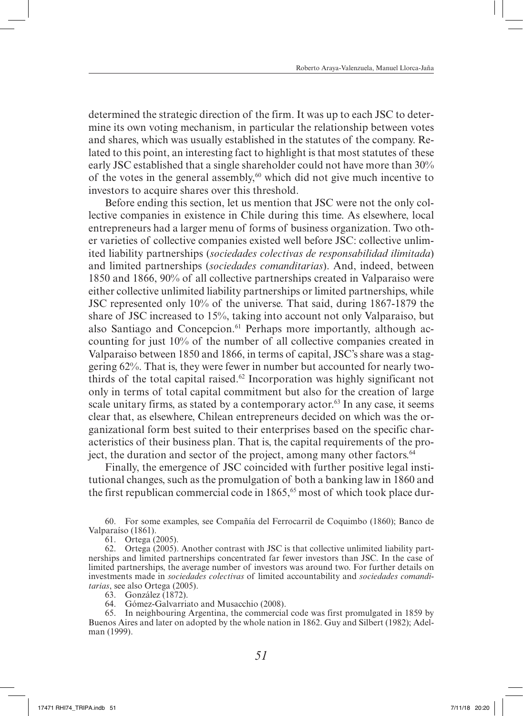determined the strategic direction of the firm. It was up to each JSC to determine its own voting mechanism, in particular the relationship between votes and shares, which was usually established in the statutes of the company. Related to this point, an interesting fact to highlight is that most statutes of these early JSC established that a single shareholder could not have more than 30% of the votes in the general assembly, $60$  which did not give much incentive to investors to acquire shares over this threshold.

Before ending this section, let us mention that JSC were not the only collective companies in existence in Chile during this time. As elsewhere, local entrepreneurs had a larger menu of forms of business organization. Two other varieties of collective companies existed well before JSC: collective unlimited liability partnerships (*sociedades colectivas de responsabilidad ilimitada*) and limited partnerships (*sociedades comanditarias*). And, indeed, between 1850 and 1866, 90% of all collective partnerships created in Valparaiso were either collective unlimited liability partnerships or limited partnerships, while JSC represented only 10% of the universe. That said, during 1867-1879 the share of JSC increased to 15%, taking into account not only Valparaiso, but also Santiago and Concepcion.<sup>61</sup> Perhaps more importantly, although accounting for just 10% of the number of all collective companies created in Valparaiso between 1850 and 1866, in terms of capital, JSC's share was a staggering 62%. That is, they were fewer in number but accounted for nearly twothirds of the total capital raised.<sup>62</sup> Incorporation was highly significant not only in terms of total capital commitment but also for the creation of large scale unitary firms, as stated by a contemporary actor.<sup>63</sup> In any case, it seems clear that, as elsewhere, Chilean entrepreneurs decided on which was the organizational form best suited to their enterprises based on the specific characteristics of their business plan. That is, the capital requirements of the project, the duration and sector of the project, among many other factors.<sup>64</sup>

Finally, the emergence of JSC coincided with further positive legal institutional changes, such as the promulgation of both a banking law in 1860 and the first republican commercial code in  $1865<sup>65</sup>$  most of which took place dur-

60. For some examples, see Compañía del Ferrocarril de Coquimbo (1860); Banco de Valparaíso (1861).

61. Ortega (2005).

62. Ortega (2005). Another contrast with JSC is that collective unlimited liability partnerships and limited partnerships concentrated far fewer investors than JSC. In the case of limited partnerships, the average number of investors was around two. For further details on investments made in *sociedades colectivas* of limited accountability and *sociedades comanditarias*, see also Ortega (2005).

63. González (1872).

64. Gómez-Galvarriato and Musacchio (2008).

65. In neighbouring Argentina, the commercial code was first promulgated in 1859 by Buenos Aires and later on adopted by the whole nation in 1862. Guy and Silbert (1982); Adelman (1999).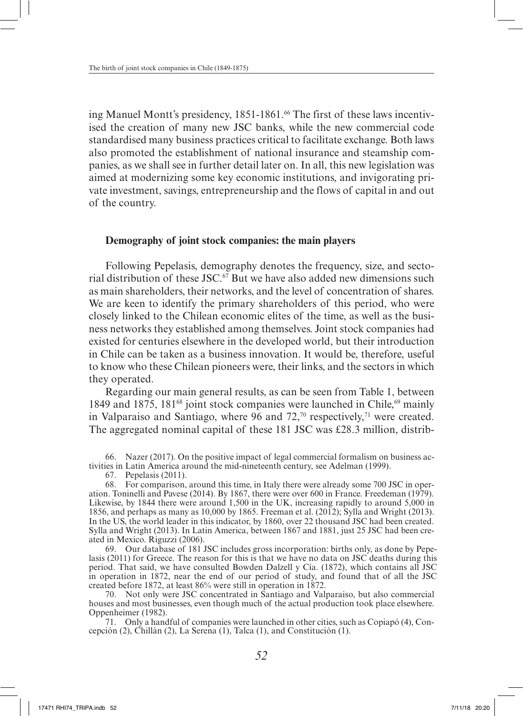ing Manuel Montt's presidency, 1851-1861.<sup>66</sup> The first of these laws incentivised the creation of many new JSC banks, while the new commercial code standardised many business practices critical to facilitate exchange. Both laws also promoted the establishment of national insurance and steamship companies, as we shall see in further detail later on. In all, this new legislation was aimed at modernizing some key economic institutions, and invigorating private investment, savings, entrepreneurship and the flows of capital in and out of the country.

#### **Demography of joint stock companies: the main players**

Following Pepelasis, demography denotes the frequency, size, and sectorial distribution of these JSC.<sup>67</sup> But we have also added new dimensions such as main shareholders, their networks, and the level of concentration of shares. We are keen to identify the primary shareholders of this period, who were closely linked to the Chilean economic elites of the time, as well as the business networks they established among themselves. Joint stock companies had existed for centuries elsewhere in the developed world, but their introduction in Chile can be taken as a business innovation. It would be, therefore, useful to know who these Chilean pioneers were, their links, and the sectors in which they operated.

Regarding our main general results, as can be seen from Table 1, between 1849 and 1875, 181<sup>68</sup> joint stock companies were launched in Chile, <sup>69</sup> mainly in Valparaiso and Santiago, where  $96$  and  $72<sup>70</sup>$  respectively,<sup>71</sup> were created. The aggregated nominal capital of these 181 JSC was £28.3 million, distrib-

66. Nazer (2017). On the positive impact of legal commercial formalism on business activities in Latin America around the mid-nineteenth century, see Adelman (1999).

67. Pepelasis (2011).

69. Our database of 181 JSC includes gross incorporation: births only, as done by Pepelasis (2011) for Greece. The reason for this is that we have no data on JSC deaths during this period. That said, we have consulted Bowden Dalzell y Cía. (1872), which contains all JSC in operation in 1872, near the end of our period of study, and found that of all the JSC created before 1872, at least 86% were still in operation in 1872.

70. Not only were JSC concentrated in Santiago and Valparaiso, but also commercial houses and most businesses, even though much of the actual production took place elsewhere. Oppenheimer (1982).

71. Only a handful of companies were launched in other cities, such as Copiapó (4), Concepción (2), Chillán (2), La Serena (1), Talca (1), and Constitución (1).

<sup>68.</sup> For comparison, around this time, in Italy there were already some 700 JSC in operation. Toninelli and Pavese (2014). By 1867, there were over 600 in France. Freedeman (1979). Likewise, by 1844 there were around 1,500 in the UK, increasing rapidly to around 5,000 in 1856, and perhaps as many as 10,000 by 1865. Freeman et al. (2012); Sylla and Wright (2013). In the US, the world leader in this indicator, by 1860, over 22 thousand JSC had been created. Sylla and Wright (2013). In Latin America, between 1867 and 1881, just 25 JSC had been created in Mexico. Riguzzi (2006).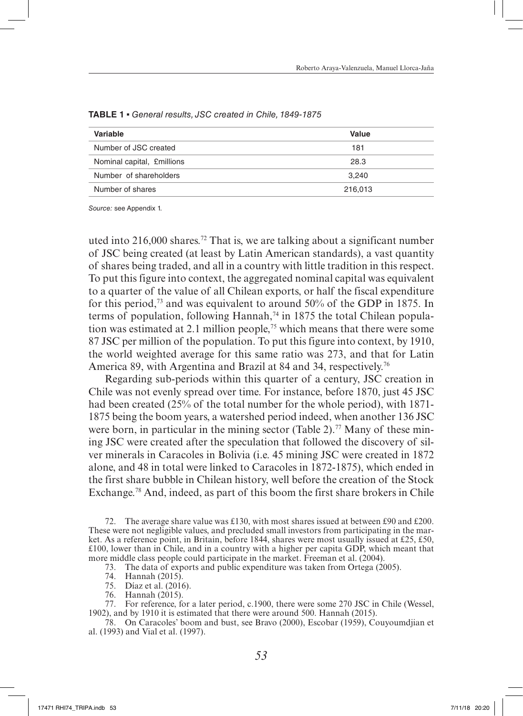| Variable                   | Value   |
|----------------------------|---------|
| Number of JSC created      | 181     |
| Nominal capital, £millions | 28.3    |
| Number of shareholders     | 3.240   |
| Number of shares           | 216,013 |

**TABLE 1** ▪ *General results, JSC created in Chile, 1849-1875*

uted into 216,000 shares.<sup>72</sup> That is, we are talking about a significant number of JSC being created (at least by Latin American standards), a vast quantity of shares being traded, and all in a country with little tradition in this respect. To put this figure into context, the aggregated nominal capital was equivalent to a quarter of the value of all Chilean exports, or half the fiscal expenditure for this period,<sup>73</sup> and was equivalent to around  $50\%$  of the GDP in 1875. In terms of population, following Hannah,<sup>74</sup> in 1875 the total Chilean population was estimated at 2.1 million people,75 which means that there were some 87 JSC per million of the population. To put this figure into context, by 1910, the world weighted average for this same ratio was 273, and that for Latin America 89, with Argentina and Brazil at 84 and 34, respectively.<sup>76</sup>

Regarding sub-periods within this quarter of a century, JSC creation in Chile was not evenly spread over time. For instance, before 1870, just 45 JSC had been created (25% of the total number for the whole period), with 1871- 1875 being the boom years, a watershed period indeed, when another 136 JSC were born, in particular in the mining sector (Table 2).<sup>77</sup> Many of these mining JSC were created after the speculation that followed the discovery of silver minerals in Caracoles in Bolivia (i.e. 45 mining JSC were created in 1872 alone, and 48 in total were linked to Caracoles in 1872-1875), which ended in the first share bubble in Chilean history, well before the creation of the Stock Exchange.<sup>78</sup> And, indeed, as part of this boom the first share brokers in Chile

72. The average share value was £130, with most shares issued at between £90 and £200. These were not negligible values, and precluded small investors from participating in the market. As a reference point, in Britain, before 1844, shares were most usually issued at £25, £50, £100, lower than in Chile, and in a country with a higher per capita GDP, which meant that more middle class people could participate in the market. Freeman et al. (2004).

73. The data of exports and public expenditure was taken from Ortega (2005).

- 74. Hannah (2015).
- 75. Díaz et al. (2016).
- 76. Hannah (2015).

77. For reference, for a later period, c.1900, there were some 270 JSC in Chile (Wessel, 1902), and by 1910 it is estimated that there were around 500. Hannah (2015).

78. On Caracoles' boom and bust, see Bravo (2000), Escobar (1959), Couyoumdjian et al. (1993) and Vial et al. (1997).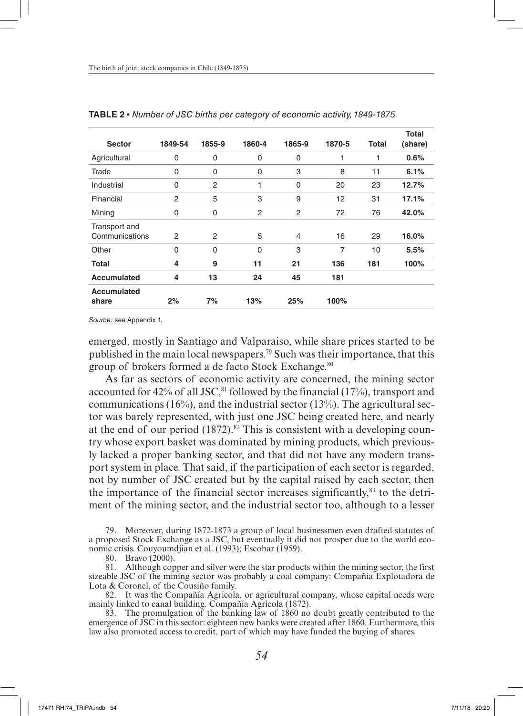| <b>Sector</b>                   | 1849-54 | 1855-9      | 1860-4      | 1865-9         | 1870-5         | Total | Total<br>(share) |
|---------------------------------|---------|-------------|-------------|----------------|----------------|-------|------------------|
| Agricultural                    | 0       | $\mathbf 0$ | 0           | 0              | 1              | 1     | 0.6%             |
| Trade                           | 0       | $\mathbf 0$ | $\mathbf 0$ | 3              | 8              | 11    | 6.1%             |
| Industrial                      | 0       | 2           | 1           | $\mathbf 0$    | 20             | 23    | 12.7%            |
| Financial                       | 2       | 5           | 3           | 9              | 12             | 31    | 17.1%            |
| Mining                          | 0       | $\mathbf 0$ | 2           | $\overline{2}$ | 72             | 76    | 42.0%            |
| Transport and<br>Communications | 2       | 2           | 5           | 4              | 16             | 29    | 16.0%            |
| Other                           | 0       | $\Omega$    | $\Omega$    | 3              | $\overline{7}$ | 10    | 5.5%             |
| <b>Total</b>                    | 4       | 9           | 11          | 21             | 136            | 181   | 100%             |
| Accumulated                     | 4       | 13          | 24          | 45             | 181            |       |                  |
| Accumulated<br>share            | 2%      | 7%          | 13%         | 25%            | 100%           |       |                  |

**TABLE 2** ▪ *Number of JSC births per category of economic activity, 1849-1875*

emerged, mostly in Santiago and Valparaiso, while share prices started to be published in the main local newspapers.79 Such was their importance, that this group of brokers formed a de facto Stock Exchange.<sup>80</sup>

As far as sectors of economic activity are concerned, the mining sector accounted for 42% of all JSC,<sup>81</sup> followed by the financial (17%), transport and communications  $(16%)$ , and the industrial sector  $(13%)$ . The agricultural sector was barely represented, with just one JSC being created here, and nearly at the end of our period  $(1872)^{82}$ . This is consistent with a developing country whose export basket was dominated by mining products, which previously lacked a proper banking sector, and that did not have any modern transport system in place. That said, if the participation of each sector is regarded, not by number of JSC created but by the capital raised by each sector, then the importance of the financial sector increases significantly, $83$  to the detriment of the mining sector, and the industrial sector too, although to a lesser

79. Moreover, during 1872-1873 a group of local businessmen even drafted statutes of a proposed Stock Exchange as a JSC, but eventually it did not prosper due to the world economic crisis. Couyoumdjian et al. (1993); Escobar (1959).

80. Bravo (2000).

81. Although copper and silver were the star products within the mining sector, the first sizeable JSC of the mining sector was probably a coal company: Compañía Explotadora de Lota & Coronel, of the Cousiño family.

82. It was the Compañía Agrícola, or agricultural company, whose capital needs were mainly linked to canal building. Compañía Agrícola (1872).

83. The promulgation of the banking law of 1860 no doubt greatly contributed to the emergence of JSC in this sector: eighteen new banks were created after 1860. Furthermore, this law also promoted access to credit, part of which may have funded the buying of shares.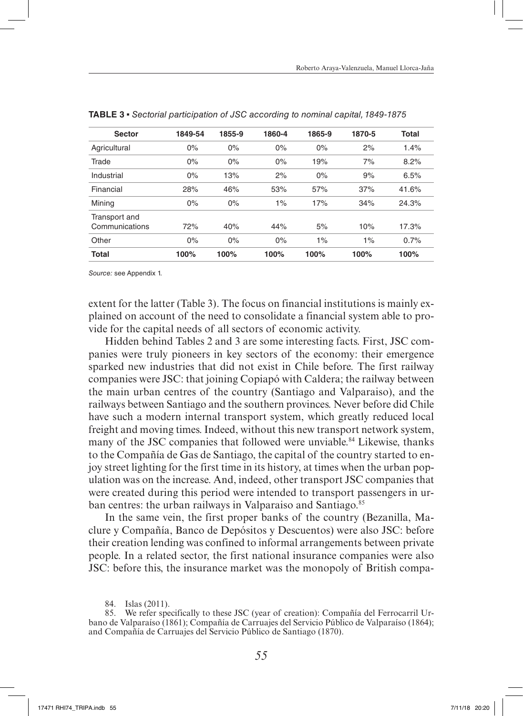| <b>Sector</b>  | 1849-54 | 1855-9 | 1860-4 | 1865-9 | 1870-5 | Total |
|----------------|---------|--------|--------|--------|--------|-------|
| Agricultural   | 0%      | 0%     | 0%     | 0%     | 2%     | 1.4%  |
| Trade          | 0%      | 0%     | 0%     | 19%    | 7%     | 8.2%  |
| Industrial     | 0%      | 13%    | 2%     | 0%     | 9%     | 6.5%  |
| Financial      | 28%     | 46%    | 53%    | 57%    | 37%    | 41.6% |
| Mining         | 0%      | 0%     | 1%     | 17%    | 34%    | 24.3% |
| Transport and  |         |        |        |        |        |       |
| Communications | 72%     | 40%    | 44%    | 5%     | 10%    | 17.3% |
| Other          | 0%      | 0%     | 0%     | $1\%$  | 1%     | 0.7%  |
| <b>Total</b>   | 100%    | 100%   | 100%   | 100%   | 100%   | 100%  |

extent for the latter (Table 3). The focus on financial institutions is mainly explained on account of the need to consolidate a financial system able to provide for the capital needs of all sectors of economic activity.

Hidden behind Tables 2 and 3 are some interesting facts. First, JSC companies were truly pioneers in key sectors of the economy: their emergence sparked new industries that did not exist in Chile before. The first railway companies were JSC: that joining Copiapó with Caldera; the railway between the main urban centres of the country (Santiago and Valparaiso), and the railways between Santiago and the southern provinces. Never before did Chile have such a modern internal transport system, which greatly reduced local freight and moving times. Indeed, without this new transport network system, many of the JSC companies that followed were unviable.<sup>84</sup> Likewise, thanks to the Compañía de Gas de Santiago, the capital of the country started to enjoy street lighting for the first time in its history, at times when the urban population was on the increase. And, indeed, other transport JSC companies that were created during this period were intended to transport passengers in urban centres: the urban railways in Valparaiso and Santiago.<sup>85</sup>

In the same vein, the first proper banks of the country (Bezanilla, Maclure y Compañía, Banco de Depósitos y Descuentos) were also JSC: before their creation lending was confined to informal arrangements between private people. In a related sector, the first national insurance companies were also JSC: before this, the insurance market was the monopoly of British compa-

<sup>84.</sup> Islas (2011).

<sup>85.</sup> We refer specifically to these JSC (year of creation): Compañía del Ferrocarril Urbano de Valparaíso (1861); Compañía de Carruajes del Servicio Público de Valparaíso (1864); and Compañía de Carruajes del Servicio Público de Santiago (1870).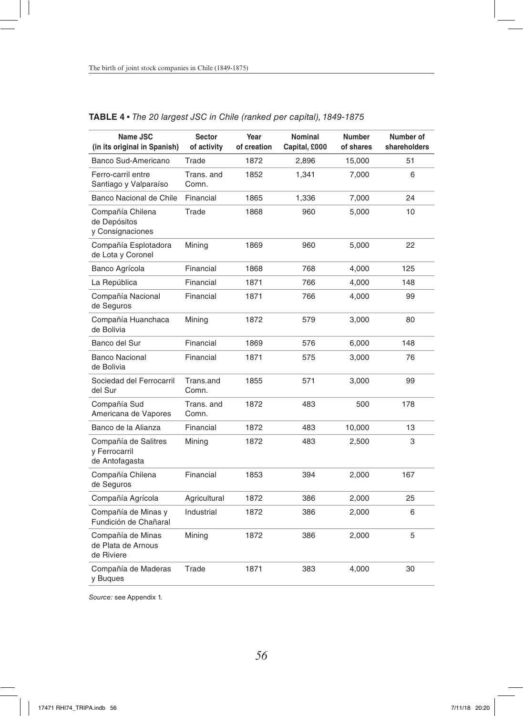| Name JSC<br>(in its original in Spanish)                | <b>Sector</b><br>of activity | Year<br>of creation | <b>Nominal</b><br>Capital, £000 | Number<br>of shares | Number of<br>shareholders |
|---------------------------------------------------------|------------------------------|---------------------|---------------------------------|---------------------|---------------------------|
| Banco Sud-Americano                                     | Trade                        | 1872                | 2,896                           | 15,000              | 51                        |
| Ferro-carril entre<br>Santiago y Valparaíso             | Trans, and<br>Comn.          | 1852                | 1,341                           | 7,000               | 6                         |
| Banco Nacional de Chile                                 | Financial                    | 1865                | 1,336                           | 7,000               | 24                        |
| Compañía Chilena<br>de Depósitos<br>y Consignaciones    | Trade                        | 1868                | 960                             | 5,000               | 10                        |
| Compañía Esplotadora<br>de Lota y Coronel               | Mining                       | 1869                | 960                             | 5,000               | 22                        |
| Banco Agrícola                                          | Financial                    | 1868                | 768                             | 4,000               | 125                       |
| La República                                            | Financial                    | 1871                | 766                             | 4,000               | 148                       |
| Compañía Nacional<br>de Seguros                         | Financial                    | 1871                | 766                             | 4,000               | 99                        |
| Compañía Huanchaca<br>de Bolivia                        | Mining                       | 1872                | 579                             | 3,000               | 80                        |
| Banco del Sur                                           | Financial                    | 1869                | 576                             | 6,000               | 148                       |
| <b>Banco Nacional</b><br>de Bolivia                     | Financial                    | 1871                | 575                             | 3,000               | 76                        |
| Sociedad del Ferrocarril<br>del Sur                     | Trans.and<br>Comn.           | 1855                | 571                             | 3,000               | 99                        |
| Compañía Sud<br>Americana de Vapores                    | Trans, and<br>Comn.          | 1872                | 483                             | 500                 | 178                       |
| Banco de la Alianza                                     | Financial                    | 1872                | 483                             | 10,000              | 13                        |
| Compañía de Salitres<br>y Ferrocarril<br>de Antofagasta | Mining                       | 1872                | 483                             | 2,500               | 3                         |
| Compañía Chilena<br>de Seguros                          | Financial                    | 1853                | 394                             | 2,000               | 167                       |
| Compañía Agrícola                                       | Agricultural                 | 1872                | 386                             | 2,000               | 25                        |
| Compañía de Minas y<br>Fundición de Chañaral            | Industrial                   | 1872                | 386                             | 2,000               | 6                         |
| Compañía de Minas<br>de Plata de Arnous<br>de Riviere   | Mining                       | 1872                | 386                             | 2,000               | 5                         |
| Compañía de Maderas<br>y Buques                         | Trade                        | 1871                | 383                             | 4,000               | 30                        |

# **TABLE 4** ▪ *The 20 largest JSC in Chile (ranked per capital), 1849-1875*

*Source:* see Appendix 1.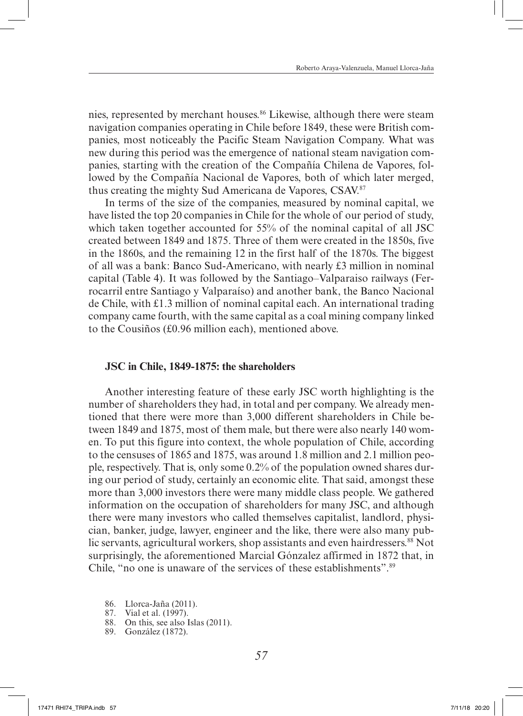nies, represented by merchant houses.<sup>86</sup> Likewise, although there were steam navigation companies operating in Chile before 1849, these were British companies, most noticeably the Pacific Steam Navigation Company. What was new during this period was the emergence of national steam navigation companies, starting with the creation of the Compañía Chilena de Vapores, followed by the Compañía Nacional de Vapores, both of which later merged, thus creating the mighty Sud Americana de Vapores, CSAV.<sup>87</sup>

In terms of the size of the companies, measured by nominal capital, we have listed the top 20 companies in Chile for the whole of our period of study, which taken together accounted for 55% of the nominal capital of all JSC created between 1849 and 1875. Three of them were created in the 1850s, five in the 1860s, and the remaining 12 in the first half of the 1870s. The biggest of all was a bank: Banco Sud-Americano, with nearly £3 million in nominal capital (Table 4). It was followed by the Santiago–Valparaiso railways (Ferrocarril entre Santiago y Valparaíso) and another bank, the Banco Nacional de Chile, with £1.3 million of nominal capital each. An international trading company came fourth, with the same capital as a coal mining company linked to the Cousiños (£0.96 million each), mentioned above.

#### **JSC in Chile, 1849-1875: the shareholders**

Another interesting feature of these early JSC worth highlighting is the number of shareholders they had, in total and per company. We already mentioned that there were more than 3,000 different shareholders in Chile between 1849 and 1875, most of them male, but there were also nearly 140 women. To put this figure into context, the whole population of Chile, according to the censuses of 1865 and 1875, was around 1.8 million and 2.1 million people, respectively. That is, only some 0.2% of the population owned shares during our period of study, certainly an economic elite. That said, amongst these more than 3,000 investors there were many middle class people. We gathered information on the occupation of shareholders for many JSC, and although there were many investors who called themselves capitalist, landlord, physician, banker, judge, lawyer, engineer and the like, there were also many public servants, agricultural workers, shop assistants and even hairdressers.<sup>88</sup> Not surprisingly, the aforementioned Marcial Gónzalez affirmed in 1872 that, in Chile, "no one is unaware of the services of these establishments".<sup>89</sup>

- 86. Llorca-Jaña (2011).
- 87. Vial et al. (1997).
- 88. On this, see also Islas (2011).
- 89. González (1872).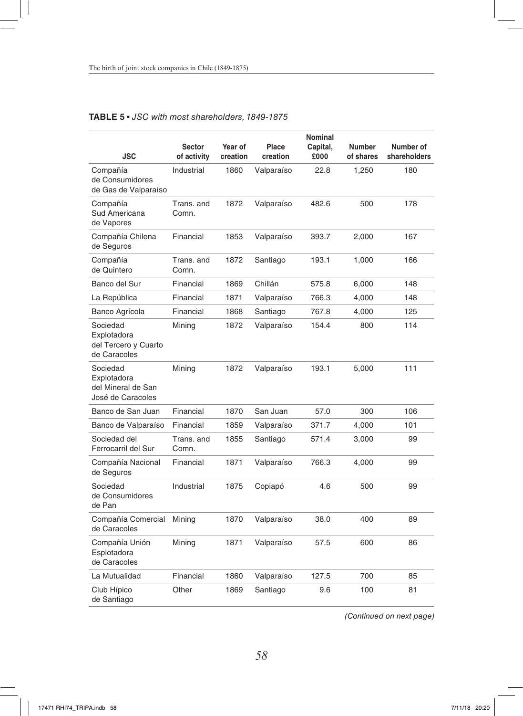|                                                                    | <b>Sector</b>       | Year of  | Place      | <b>Nominal</b><br>Capital, | <b>Number</b> | Number of    |
|--------------------------------------------------------------------|---------------------|----------|------------|----------------------------|---------------|--------------|
| JSC                                                                | of activity         | creation | creation   | £000                       | of shares     | shareholders |
| Compañía<br>de Consumidores<br>de Gas de Valparaíso                | Industrial          | 1860     | Valparaíso | 22.8                       | 1,250         | 180          |
| Compañía<br>Sud Americana<br>de Vapores                            | Trans, and<br>Comn. | 1872     | Valparaíso | 482.6                      | 500           | 178          |
| Compañía Chilena<br>de Seguros                                     | Financial           | 1853     | Valparaíso | 393.7                      | 2,000         | 167          |
| Compañía<br>de Quintero                                            | Trans, and<br>Comn. | 1872     | Santiago   | 193.1                      | 1,000         | 166          |
| Banco del Sur                                                      | Financial           | 1869     | Chillán    | 575.8                      | 6,000         | 148          |
| La República                                                       | Financial           | 1871     | Valparaíso | 766.3                      | 4,000         | 148          |
| Banco Agrícola                                                     | Financial           | 1868     | Santiago   | 767.8                      | 4,000         | 125          |
| Sociedad<br>Explotadora<br>del Tercero y Cuarto<br>de Caracoles    | Mining              | 1872     | Valparaíso | 154.4                      | 800           | 114          |
| Sociedad<br>Explotadora<br>del Mineral de San<br>José de Caracoles | Mining              | 1872     | Valparaíso | 193.1                      | 5,000         | 111          |
| Banco de San Juan                                                  | Financial           | 1870     | San Juan   | 57.0                       | 300           | 106          |
| Banco de Valparaíso                                                | Financial           | 1859     | Valparaíso | 371.7                      | 4,000         | 101          |
| Sociedad del<br>Ferrocarril del Sur                                | Trans, and<br>Comn. | 1855     | Santiago   | 571.4                      | 3,000         | 99           |
| Compañía Nacional<br>de Seguros                                    | Financial           | 1871     | Valparaíso | 766.3                      | 4,000         | 99           |
| Sociedad<br>de Consumidores<br>de Pan                              | Industrial          | 1875     | Copiapó    | 4.6                        | 500           | 99           |
| Compañía Comercial<br>de Caracoles                                 | Mining              | 1870     | Valparaíso | 38.0                       | 400           | 89           |
| Compañía Unión<br>Esplotadora<br>de Caracoles                      | Mining              | 1871     | Valparaíso | 57.5                       | 600           | 86           |
| La Mutualidad                                                      | Financial           | 1860     | Valparaíso | 127.5                      | 700           | 85           |
| Club Hípico<br>de Santiago                                         | Other               | 1869     | Santiago   | 9.6                        | 100           | 81           |

### **TABLE 5** ▪ *JSC with most shareholders, 1849-1875*

*(Continued on next page)*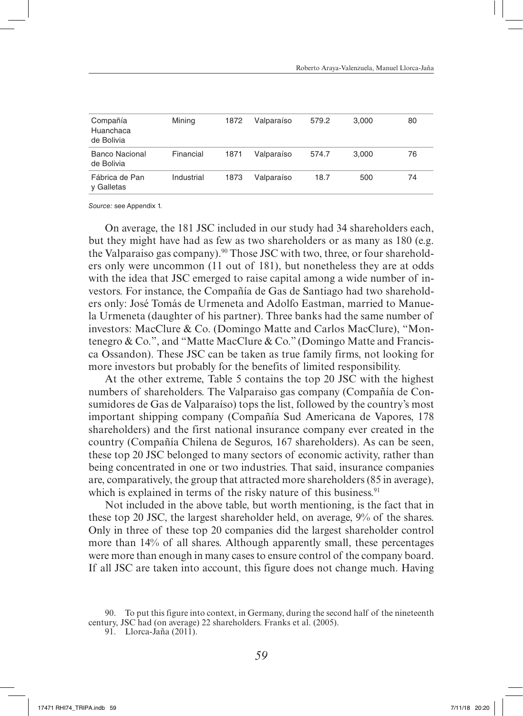| Compañía<br>Huanchaca<br>de Bolivia | Mining     | 1872 | Valparaíso | 579.2 | 3,000 | 80 |
|-------------------------------------|------------|------|------------|-------|-------|----|
| Banco Nacional<br>de Bolivia        | Financial  | 1871 | Valparaíso | 574.7 | 3.000 | 76 |
| Fábrica de Pan<br>y Galletas        | Industrial | 1873 | Valparaíso | 18.7  | 500   | 74 |

On average, the 181 JSC included in our study had 34 shareholders each, but they might have had as few as two shareholders or as many as 180 (e.g. the Valparaiso gas company).<sup>90</sup> Those JSC with two, three, or four shareholders only were uncommon (11 out of 181), but nonetheless they are at odds with the idea that JSC emerged to raise capital among a wide number of investors. For instance, the Compañía de Gas de Santiago had two shareholders only: José Tomás de Urmeneta and Adolfo Eastman, married to Manuela Urmeneta (daughter of his partner). Three banks had the same number of investors: MacClure & Co. (Domingo Matte and Carlos MacClure), "Montenegro & Co.", and "Matte MacClure & Co." (Domingo Matte and Francisca Ossandon). These JSC can be taken as true family firms, not looking for more investors but probably for the benefits of limited responsibility.

At the other extreme, Table 5 contains the top 20 JSC with the highest numbers of shareholders. The Valparaiso gas company (Compañía de Consumidores de Gas de Valparaíso) tops the list, followed by the country's most important shipping company (Compañía Sud Americana de Vapores, 178 shareholders) and the first national insurance company ever created in the country (Compañía Chilena de Seguros, 167 shareholders). As can be seen, these top 20 JSC belonged to many sectors of economic activity, rather than being concentrated in one or two industries. That said, insurance companies are, comparatively, the group that attracted more shareholders (85 in average), which is explained in terms of the risky nature of this business.<sup>91</sup>

Not included in the above table, but worth mentioning, is the fact that in these top 20 JSC, the largest shareholder held, on average, 9% of the shares. Only in three of these top 20 companies did the largest shareholder control more than 14% of all shares. Although apparently small, these percentages were more than enough in many cases to ensure control of the company board. If all JSC are taken into account, this figure does not change much. Having

<sup>90.</sup> To put this figure into context, in Germany, during the second half of the nineteenth century, JSC had (on average) 22 shareholders. Franks et al. (2005).

<sup>91.</sup> Llorca-Jaña (2011).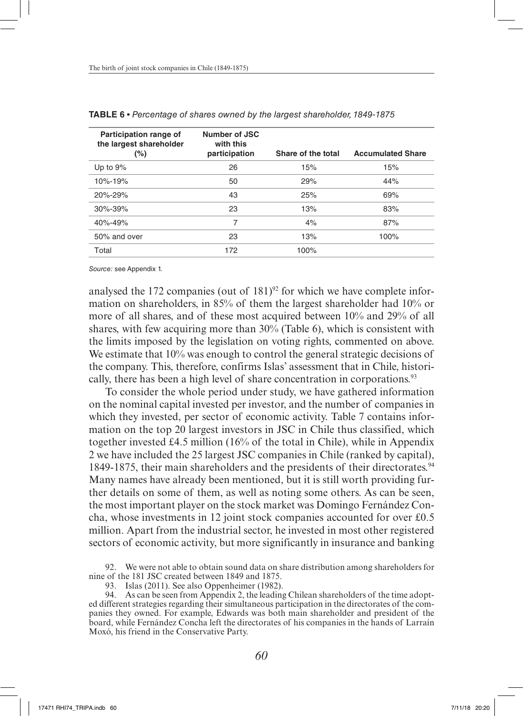| Participation range of<br>the largest shareholder | Number of JSC<br>with this |                    |                          |
|---------------------------------------------------|----------------------------|--------------------|--------------------------|
| $(\% )$                                           | participation              | Share of the total | <b>Accumulated Share</b> |
| Up to $9\%$                                       | 26                         | 15%                | 15%                      |
| 10%-19%                                           | 50                         | 29%                | 44%                      |
| 20%-29%                                           | 43                         | 25%                | 69%                      |
| $30\% - 39\%$                                     | 23                         | 13%                | 83%                      |
| 40%-49%                                           | 7                          | 4%                 | 87%                      |
| 50% and over                                      | 23                         | 13%                | 100%                     |
| Total                                             | 172                        | 100%               |                          |

**TABLE 6** ▪ *Percentage of shares owned by the largest shareholder, 1849-1875*

analysed the 172 companies (out of  $181$ )<sup>92</sup> for which we have complete information on shareholders, in 85% of them the largest shareholder had 10% or more of all shares, and of these most acquired between 10% and 29% of all shares, with few acquiring more than 30% (Table 6), which is consistent with the limits imposed by the legislation on voting rights, commented on above. We estimate that 10% was enough to control the general strategic decisions of the company. This, therefore, confirms Islas' assessment that in Chile, historically, there has been a high level of share concentration in corporations.<sup>93</sup>

To consider the whole period under study, we have gathered information on the nominal capital invested per investor, and the number of companies in which they invested, per sector of economic activity. Table 7 contains information on the top 20 largest investors in JSC in Chile thus classified, which together invested £4.5 million (16% of the total in Chile), while in Appendix 2 we have included the 25 largest JSC companies in Chile (ranked by capital), 1849-1875, their main shareholders and the presidents of their directorates.<sup>94</sup> Many names have already been mentioned, but it is still worth providing further details on some of them, as well as noting some others. As can be seen, the most important player on the stock market was Domingo Fernández Concha, whose investments in 12 joint stock companies accounted for over £0.5 million. Apart from the industrial sector, he invested in most other registered sectors of economic activity, but more significantly in insurance and banking

92. We were not able to obtain sound data on share distribution among shareholders for nine of the 181 JSC created between 1849 and 1875.

<sup>93.</sup> Islas (2011). See also Oppenheimer (1982).

<sup>94.</sup> As can be seen from Appendix 2, the leading Chilean shareholders of the time adopted different strategies regarding their simultaneous participation in the directorates of the companies they owned. For example, Edwards was both main shareholder and president of the board, while Fernández Concha left the directorates of his companies in the hands of Larraín Moxó, his friend in the Conservative Party.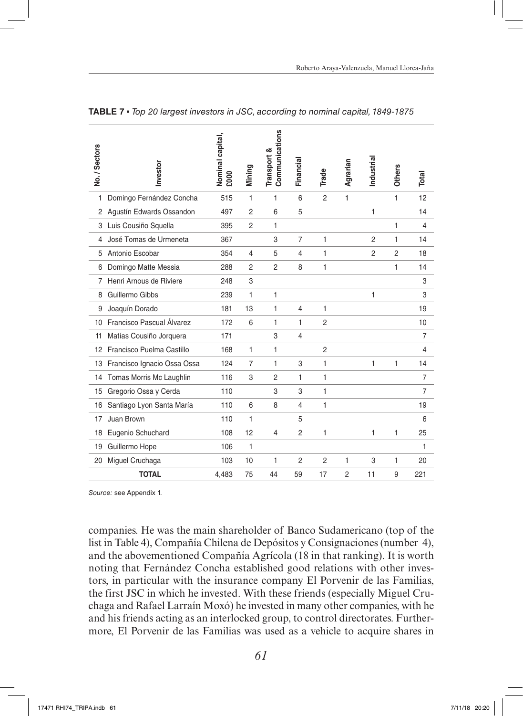| No./Sectors | Investor                    | Vominal capital,<br>£000 | Mining         | Communications<br>Transport & | Financial      | Trade          | Agrarian     | Industrial     | <b>Others</b>  | Total          |
|-------------|-----------------------------|--------------------------|----------------|-------------------------------|----------------|----------------|--------------|----------------|----------------|----------------|
| 1           | Domingo Fernández Concha    | 515                      | 1              | 1                             | 6              | $\overline{2}$ | $\mathbf{1}$ |                | $\mathbf{1}$   | 12             |
| 2           | Agustín Edwards Ossandon    | 497                      | $\overline{2}$ | 6                             | 5              |                |              | 1              |                | 14             |
| 3           | Luis Cousiño Squella        | 395                      | $\overline{2}$ | 1                             |                |                |              |                | 1              | 4              |
| 4           | José Tomas de Urmeneta      | 367                      |                | 3                             | $\overline{7}$ | 1              |              | $\overline{2}$ | 1              | 14             |
| 5           | Antonio Escobar             | 354                      | $\overline{4}$ | 5                             | $\overline{4}$ | 1              |              | $\overline{2}$ | $\overline{2}$ | 18             |
| 6           | Domingo Matte Messia        | 288                      | $\overline{2}$ | $\overline{2}$                | 8              | 1              |              |                | 1              | 14             |
| 7           | Henri Arnous de Riviere     | 248                      | 3              |                               |                |                |              |                |                | 3              |
| 8           | Guillermo Gibbs             | 239                      | 1              | 1                             |                |                |              | 1              |                | 3              |
| 9           | Joaquín Dorado              | 181                      | 13             | 1                             | $\overline{4}$ | 1              |              |                |                | 19             |
| 10          | Francisco Pascual Álvarez   | 172                      | 6              | 1                             | 1              | $\overline{2}$ |              |                |                | 10             |
| 11          | Matías Cousiño Jorquera     | 171                      |                | 3                             | 4              |                |              |                |                | 7              |
| 12          | Francisco Puelma Castillo   | 168                      | 1              | 1                             |                | $\overline{2}$ |              |                |                | 4              |
| 13          | Francisco Ignacio Ossa Ossa | 124                      | $\overline{7}$ | 1                             | 3              | 1              |              | 1              | 1              | 14             |
| 14          | Tomas Morris Mc Laughlin    | 116                      | 3              | $\overline{2}$                | 1              | 1              |              |                |                | 7              |
| 15          | Gregorio Ossa y Cerda       | 110                      |                | 3                             | 3              | 1              |              |                |                | $\overline{7}$ |
| 16          | Santiago Lyon Santa María   | 110                      | 6              | 8                             | 4              | 1              |              |                |                | 19             |
| 17          | Juan Brown                  | 110                      | 1              |                               | 5              |                |              |                |                | 6              |
| 18          | Eugenio Schuchard           | 108                      | 12             | $\overline{4}$                | $\overline{2}$ | 1              |              | 1              | $\mathbf{1}$   | 25             |
| 19          | Guillermo Hope              | 106                      | 1              |                               |                |                |              |                |                | 1              |
| 20          | Miguel Cruchaga             | 103                      | 10             | 1                             | $\overline{2}$ | $\overline{2}$ | 1            | 3              | 1              | 20             |
|             | <b>TOTAL</b>                | 4,483                    | 75             | 44                            | 59             | 17             | 2            | 11             | 9              | 221            |

**TABLE 7** ▪ *Top 20 largest investors in JSC, according to nominal capital, 1849-1875*

companies. He was the main shareholder of Banco Sudamericano (top of the list in Table 4), Compañía Chilena de Depósitos y Consignaciones (number 4), and the abovementioned Compañía Agrícola (18 in that ranking). It is worth noting that Fernández Concha established good relations with other investors, in particular with the insurance company El Porvenir de las Familias, the first JSC in which he invested. With these friends (especially Miguel Cruchaga and Rafael Larraín Moxó) he invested in many other companies, with he and his friends acting as an interlocked group, to control directorates. Furthermore, El Porvenir de las Familias was used as a vehicle to acquire shares in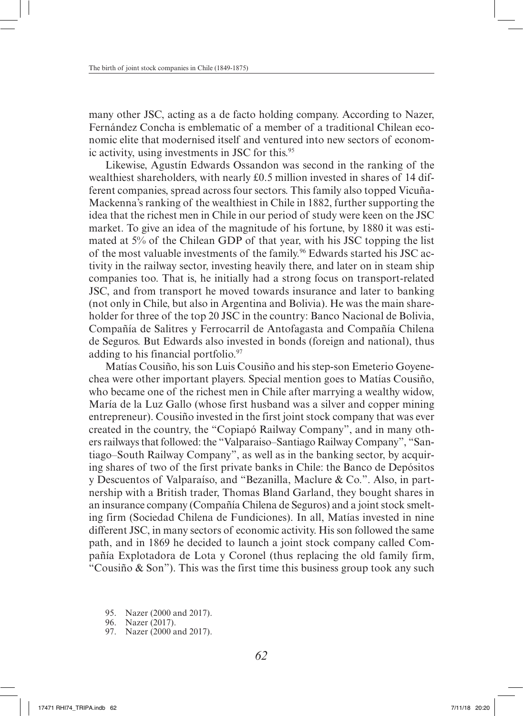many other JSC, acting as a de facto holding company. According to Nazer, Fernández Concha is emblematic of a member of a traditional Chilean economic elite that modernised itself and ventured into new sectors of economic activity, using investments in JSC for this.<sup>95</sup>

Likewise, Agustín Edwards Ossandon was second in the ranking of the wealthiest shareholders, with nearly £0.5 million invested in shares of 14 different companies, spread across four sectors. This family also topped Vicuña-Mackenna's ranking of the wealthiest in Chile in 1882, further supporting the idea that the richest men in Chile in our period of study were keen on the JSC market. To give an idea of the magnitude of his fortune, by 1880 it was estimated at 5% of the Chilean GDP of that year, with his JSC topping the list of the most valuable investments of the family.<sup>96</sup> Edwards started his JSC activity in the railway sector, investing heavily there, and later on in steam ship companies too. That is, he initially had a strong focus on transport-related JSC, and from transport he moved towards insurance and later to banking (not only in Chile, but also in Argentina and Bolivia). He was the main shareholder for three of the top 20 JSC in the country: Banco Nacional de Bolivia, Compañía de Salitres y Ferrocarril de Antofagasta and Compañía Chilena de Seguros. But Edwards also invested in bonds (foreign and national), thus adding to his financial portfolio.<sup>97</sup>

Matías Cousiño, his son Luis Cousiño and his step-son Emeterio Goyenechea were other important players. Special mention goes to Matías Cousiño, who became one of the richest men in Chile after marrying a wealthy widow, María de la Luz Gallo (whose first husband was a silver and copper mining entrepreneur). Cousiño invested in the first joint stock company that was ever created in the country, the "Copiapó Railway Company", and in many others railways that followed: the "Valparaiso–Santiago Railway Company", "Santiago–South Railway Company", as well as in the banking sector, by acquiring shares of two of the first private banks in Chile: the Banco de Depósitos y Descuentos of Valparaíso, and "Bezanilla, Maclure & Co.". Also, in partnership with a British trader, Thomas Bland Garland, they bought shares in an insurance company (Compañía Chilena de Seguros) and a joint stock smelting firm (Sociedad Chilena de Fundiciones). In all, Matías invested in nine different JSC, in many sectors of economic activity. His son followed the same path, and in 1869 he decided to launch a joint stock company called Compañía Explotadora de Lota y Coronel (thus replacing the old family firm, "Cousiño & Son"). This was the first time this business group took any such

- 95. Nazer (2000 and 2017).
- 96. Nazer (2017).
- 97. Nazer (2000 and 2017).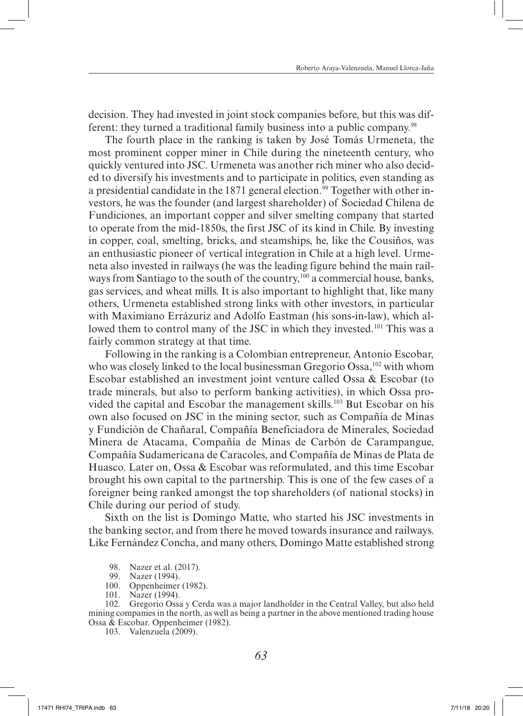decision. They had invested in joint stock companies before, but this was different: they turned a traditional family business into a public company.<sup>98</sup>

The fourth place in the ranking is taken by José Tomás Urmeneta, the most prominent copper miner in Chile during the nineteenth century, who quickly ventured into JSC. Urmeneta was another rich miner who also decided to diversify his investments and to participate in politics, even standing as a presidential candidate in the 1871 general election.<sup>99</sup> Together with other investors, he was the founder (and largest shareholder) of Sociedad Chilena de Fundiciones, an important copper and silver smelting company that started to operate from the mid-1850s, the first JSC of its kind in Chile. By investing in copper, coal, smelting, bricks, and steamships, he, like the Cousiños, was an enthusiastic pioneer of vertical integration in Chile at a high level. Urmeneta also invested in railways (he was the leading figure behind the main railways from Santiago to the south of the country,<sup>100</sup> a commercial house, banks, gas services, and wheat mills. It is also important to highlight that, like many others, Urmeneta established strong links with other investors, in particular with Maximiano Errázuriz and Adolfo Eastman (his sons-in-law), which allowed them to control many of the JSC in which they invested.<sup>101</sup> This was a fairly common strategy at that time.

Following in the ranking is a Colombian entrepreneur, Antonio Escobar, who was closely linked to the local businessman Gregorio Ossa,<sup>102</sup> with whom Escobar established an investment joint venture called Ossa & Escobar (to trade minerals, but also to perform banking activities), in which Ossa provided the capital and Escobar the management skills.<sup>103</sup> But Escobar on his own also focused on JSC in the mining sector, such as Compañía de Minas y Fundición de Chañaral, Compañía Beneficiadora de Minerales, Sociedad Minera de Atacama, Compañía de Minas de Carbón de Carampangue, Compañía Sudamericana de Caracoles, and Compañía de Minas de Plata de Huasco. Later on, Ossa & Escobar was reformulated, and this time Escobar brought his own capital to the partnership. This is one of the few cases of a foreigner being ranked amongst the top shareholders (of national stocks) in Chile during our period of study.

Sixth on the list is Domingo Matte, who started his JSC investments in the banking sector, and from there he moved towards insurance and railways. Like Fernández Concha, and many others, Domingo Matte established strong

102. Gregorio Ossa y Cerda was a major landholder in the Central Valley, but also held mining companies in the north, as well as being a partner in the above mentioned trading house Ossa & Escobar. Oppenheimer (1982).

103. Valenzuela (2009).

<sup>98.</sup> Nazer et al. (2017).

<sup>99.</sup> Nazer (1994).

<sup>100.</sup> Oppenheimer (1982).

<sup>101.</sup> Nazer (1994).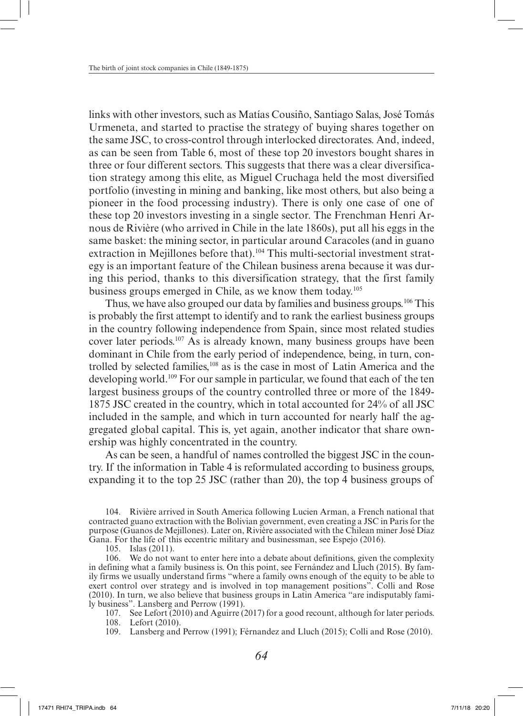links with other investors, such as Matías Cousiño, Santiago Salas, José Tomás Urmeneta, and started to practise the strategy of buying shares together on the same JSC, to cross-control through interlocked directorates. And, indeed, as can be seen from Table 6, most of these top 20 investors bought shares in three or four different sectors. This suggests that there was a clear diversification strategy among this elite, as Miguel Cruchaga held the most diversified portfolio (investing in mining and banking, like most others, but also being a pioneer in the food processing industry). There is only one case of one of these top 20 investors investing in a single sector. The Frenchman Henri Arnous de Rivière (who arrived in Chile in the late 1860s), put all his eggs in the same basket: the mining sector, in particular around Caracoles (and in guano extraction in Mejillones before that).<sup>104</sup> This multi-sectorial investment strategy is an important feature of the Chilean business arena because it was during this period, thanks to this diversification strategy, that the first family business groups emerged in Chile, as we know them today.105

Thus, we have also grouped our data by families and business groups.<sup>106</sup> This is probably the first attempt to identify and to rank the earliest business groups in the country following independence from Spain, since most related studies cover later periods.107 As is already known, many business groups have been dominant in Chile from the early period of independence, being, in turn, controlled by selected families,<sup>108</sup> as is the case in most of Latin America and the developing world.109 For our sample in particular, we found that each of the ten largest business groups of the country controlled three or more of the 1849- 1875 JSC created in the country, which in total accounted for 24% of all JSC included in the sample, and which in turn accounted for nearly half the aggregated global capital. This is, yet again, another indicator that share ownership was highly concentrated in the country.

As can be seen, a handful of names controlled the biggest JSC in the country. If the information in Table 4 is reformulated according to business groups, expanding it to the top 25 JSC (rather than 20), the top 4 business groups of

104. Rivière arrived in South America following Lucien Arman, a French national that contracted guano extraction with the Bolivian government, even creating a JSC in Paris for the purpose (Guanos de Mejillones). Later on, Rivière associated with the Chilean miner José Díaz Gana. For the life of this eccentric military and businessman, see Espejo (2016).

106. We do not want to enter here into a debate about definitions, given the complexity in defining what a family business is. On this point, see Fernández and Lluch (2015). By family firms we usually understand firms "where a family owns enough of the equity to be able to exert control over strategy and is involved in top management positions". Colli and Rose (2010). In turn, we also believe that business groups in Latin America "are indisputably family business". Lansberg and Perrow (1991).

107. See Lefort (2010) and Aguirre (2017) for a good recount, although for later periods. 108. Lefort (2010).

109. Lansberg and Perrow (1991); Férnandez and Lluch (2015); Colli and Rose (2010).

<sup>105.</sup> Islas (2011).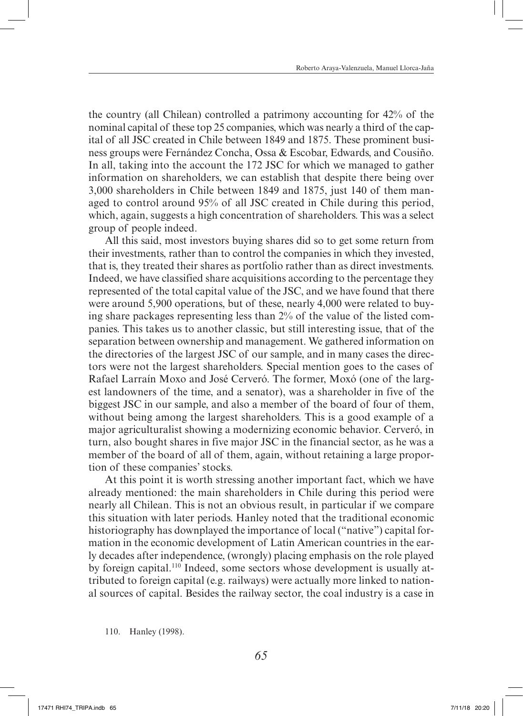the country (all Chilean) controlled a patrimony accounting for 42% of the nominal capital of these top 25 companies, which was nearly a third of the capital of all JSC created in Chile between 1849 and 1875. These prominent business groups were Fernández Concha, Ossa & Escobar, Edwards, and Cousiño. In all, taking into the account the 172 JSC for which we managed to gather information on shareholders, we can establish that despite there being over 3,000 shareholders in Chile between 1849 and 1875, just 140 of them managed to control around 95% of all JSC created in Chile during this period, which, again, suggests a high concentration of shareholders. This was a select group of people indeed.

All this said, most investors buying shares did so to get some return from their investments, rather than to control the companies in which they invested, that is, they treated their shares as portfolio rather than as direct investments. Indeed, we have classified share acquisitions according to the percentage they represented of the total capital value of the JSC, and we have found that there were around 5,900 operations, but of these, nearly 4,000 were related to buying share packages representing less than 2% of the value of the listed companies. This takes us to another classic, but still interesting issue, that of the separation between ownership and management. We gathered information on the directories of the largest JSC of our sample, and in many cases the directors were not the largest shareholders. Special mention goes to the cases of Rafael Larraín Moxo and José Cerveró. The former, Moxó (one of the largest landowners of the time, and a senator), was a shareholder in five of the biggest JSC in our sample, and also a member of the board of four of them, without being among the largest shareholders. This is a good example of a major agriculturalist showing a modernizing economic behavior. Cerveró, in turn, also bought shares in five major JSC in the financial sector, as he was a member of the board of all of them, again, without retaining a large proportion of these companies' stocks.

At this point it is worth stressing another important fact, which we have already mentioned: the main shareholders in Chile during this period were nearly all Chilean. This is not an obvious result, in particular if we compare this situation with later periods. Hanley noted that the traditional economic historiography has downplayed the importance of local ("native") capital formation in the economic development of Latin American countries in the early decades after independence, (wrongly) placing emphasis on the role played by foreign capital.110 Indeed, some sectors whose development is usually attributed to foreign capital (e.g. railways) were actually more linked to national sources of capital. Besides the railway sector, the coal industry is a case in

110. Hanley (1998).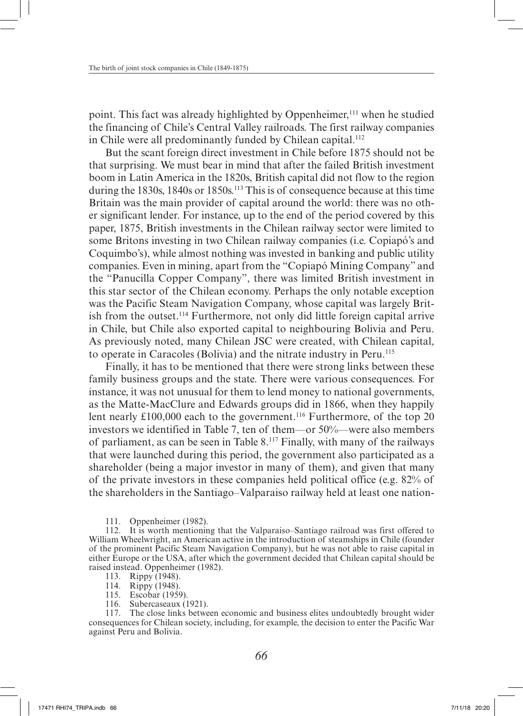point. This fact was already highlighted by Oppenheimer,<sup>111</sup> when he studied the financing of Chile's Central Valley railroads. The first railway companies in Chile were all predominantly funded by Chilean capital.<sup>112</sup>

But the scant foreign direct investment in Chile before 1875 should not be that surprising. We must bear in mind that after the failed British investment boom in Latin America in the 1820s, British capital did not flow to the region during the  $1830s$ ,  $1840s$  or  $1850s$ .<sup>113</sup> This is of consequence because at this time Britain was the main provider of capital around the world: there was no other significant lender. For instance, up to the end of the period covered by this paper, 1875, British investments in the Chilean railway sector were limited to some Britons investing in two Chilean railway companies (i.e. Copiapó's and Coquimbo's), while almost nothing was invested in banking and public utility companies. Even in mining, apart from the "Copiapó Mining Company" and the "Panucilla Copper Company", there was limited British investment in this star sector of the Chilean economy. Perhaps the only notable exception was the Pacific Steam Navigation Company, whose capital was largely British from the outset.114 Furthermore, not only did little foreign capital arrive in Chile, but Chile also exported capital to neighbouring Bolivia and Peru. As previously noted, many Chilean JSC were created, with Chilean capital, to operate in Caracoles (Bolivia) and the nitrate industry in Peru.115

Finally, it has to be mentioned that there were strong links between these family business groups and the state. There were various consequences. For instance, it was not unusual for them to lend money to national governments, as the Matte-MacClure and Edwards groups did in 1866, when they happily lent nearly £100,000 each to the government.<sup>116</sup> Furthermore, of the top 20 investors we identified in Table 7, ten of them—or 50%—were also members of parliament, as can be seen in Table 8.117 Finally, with many of the railways that were launched during this period, the government also participated as a shareholder (being a major investor in many of them), and given that many of the private investors in these companies held political office (e.g. 82% of the shareholders in the Santiago–Valparaiso railway held at least one nation-

111. Oppenheimer (1982).

112. It is worth mentioning that the Valparaiso–Santiago railroad was first offered to William Wheelwright, an American active in the introduction of steamships in Chile (founder of the prominent Pacific Steam Navigation Company), but he was not able to raise capital in either Europe or the USA, after which the government decided that Chilean capital should be raised instead. Oppenheimer (1982).

113. Rippy (1948).

- 114. Rippy (1948).
- 115. Escobar (1959).
- 116. Subercaseaux (1921).

117. The close links between economic and business elites undoubtedly brought wider consequences for Chilean society, including, for example, the decision to enter the Pacific War against Peru and Bolivia.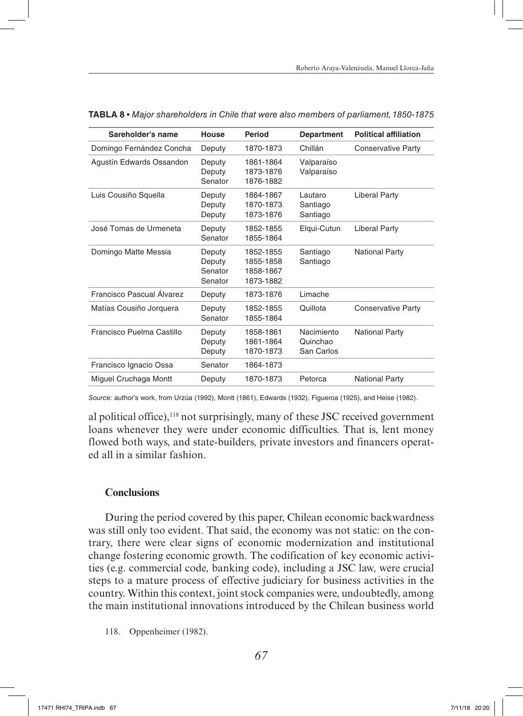| Sareholder's name         | <b>House</b>                           | Period                                           | <b>Department</b>                    | <b>Political affiliation</b> |
|---------------------------|----------------------------------------|--------------------------------------------------|--------------------------------------|------------------------------|
| Domingo Fernández Concha  | Deputy                                 | 1870-1873                                        | Chillán                              | <b>Conservative Party</b>    |
| Agustín Edwards Ossandon  | Deputy<br>Deputy<br>Senator            | 1861-1864<br>1873-1876<br>1876-1882              | Valparaíso<br>Valparaíso             |                              |
| Luis Cousiño Squella      | Deputy<br>Deputy<br>Deputy             | 1864-1867<br>1870-1873<br>1873-1876              | Lautaro<br>Santiago<br>Santiago      | <b>Liberal Party</b>         |
| José Tomas de Urmeneta    | Deputy<br>Senator                      | 1852-1855<br>1855-1864                           | Elqui-Cutun                          | <b>Liberal Party</b>         |
| Domingo Matte Messia      | Deputy<br>Deputy<br>Senator<br>Senator | 1852-1855<br>1855-1858<br>1858-1867<br>1873-1882 | Santiago<br>Santiago                 | <b>National Party</b>        |
| Francisco Pascual Álvarez | Deputy                                 | 1873-1876                                        | Limache                              |                              |
| Matías Cousiño Jorquera   | Deputy<br>Senator                      | 1852-1855<br>1855-1864                           | Quillota                             | <b>Conservative Party</b>    |
| Francisco Puelma Castillo | Deputy<br>Deputy<br>Deputy             | 1858-1861<br>1861-1864<br>1870-1873              | Nacimiento<br>Quinchao<br>San Carlos | <b>National Party</b>        |
| Francisco Ignacio Ossa    | Senator                                | 1864-1873                                        |                                      |                              |
| Miguel Cruchaga Montt     | Deputy                                 | 1870-1873                                        | Petorca                              | <b>National Party</b>        |

**TABLA 8** ▪ *Major shareholders in Chile that were also members of parliament, 1850-1875*

*Source:* author's work, from Urzúa (1992), Montt (1861), Edwards (1932), Figueroa (1925), and Heise (1982).

al political office), $118$  not surprisingly, many of these JSC received government loans whenever they were under economic difficulties. That is, lent money flowed both ways, and state-builders, private investors and financers operated all in a similar fashion.

#### **Conclusions**

During the period covered by this paper, Chilean economic backwardness was still only too evident. That said, the economy was not static: on the contrary, there were clear signs of economic modernization and institutional change fostering economic growth. The codification of key economic activities (e.g. commercial code, banking code), including a JSC law, were crucial steps to a mature process of effective judiciary for business activities in the country. Within this context, joint stock companies were, undoubtedly, among the main institutional innovations introduced by the Chilean business world

118. Oppenheimer (1982).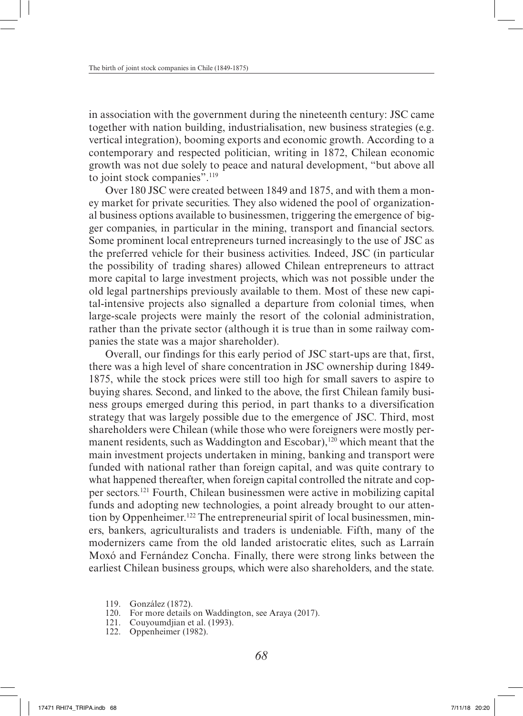in association with the government during the nineteenth century: JSC came together with nation building, industrialisation, new business strategies (e.g. vertical integration), booming exports and economic growth. According to a contemporary and respected politician, writing in 1872, Chilean economic growth was not due solely to peace and natural development, "but above all to joint stock companies".119

Over 180 JSC were created between 1849 and 1875, and with them a money market for private securities. They also widened the pool of organizational business options available to businessmen, triggering the emergence of bigger companies, in particular in the mining, transport and financial sectors. Some prominent local entrepreneurs turned increasingly to the use of JSC as the preferred vehicle for their business activities. Indeed, JSC (in particular the possibility of trading shares) allowed Chilean entrepreneurs to attract more capital to large investment projects, which was not possible under the old legal partnerships previously available to them. Most of these new capital-intensive projects also signalled a departure from colonial times, when large-scale projects were mainly the resort of the colonial administration, rather than the private sector (although it is true than in some railway companies the state was a major shareholder).

Overall, our findings for this early period of JSC start-ups are that, first, there was a high level of share concentration in JSC ownership during 1849- 1875, while the stock prices were still too high for small savers to aspire to buying shares. Second, and linked to the above, the first Chilean family business groups emerged during this period, in part thanks to a diversification strategy that was largely possible due to the emergence of JSC. Third, most shareholders were Chilean (while those who were foreigners were mostly permanent residents, such as Waddington and Escobar), $120$  which meant that the main investment projects undertaken in mining, banking and transport were funded with national rather than foreign capital, and was quite contrary to what happened thereafter, when foreign capital controlled the nitrate and copper sectors.121 Fourth, Chilean businessmen were active in mobilizing capital funds and adopting new technologies, a point already brought to our attention by Oppenheimer.<sup>122</sup> The entrepreneurial spirit of local businessmen, miners, bankers, agriculturalists and traders is undeniable. Fifth, many of the modernizers came from the old landed aristocratic elites, such as Larraín Moxó and Fernández Concha. Finally, there were strong links between the earliest Chilean business groups, which were also shareholders, and the state.

- 119. González (1872).
- 120. For more details on Waddington, see Araya (2017).
- 121. Couyoumdjian et al. (1993).
- 122. Oppenheimer (1982).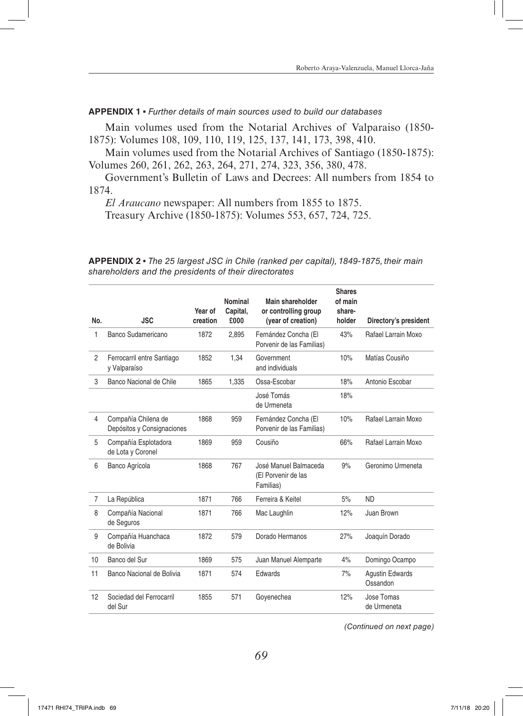**APPENDIX 1** ▪ *Further details of main sources used to build our databases*

Main volumes used from the Notarial Archives of Valparaiso (1850- 1875): Volumes 108, 109, 110, 119, 125, 137, 141, 173, 398, 410.

Main volumes used from the Notarial Archives of Santiago (1850-1875): Volumes 260, 261, 262, 263, 264, 271, 274, 323, 356, 380, 478.

Government's Bulletin of Laws and Decrees: All numbers from 1854 to 1874.

*El Araucano* newspaper: All numbers from 1855 to 1875.

Treasury Archive (1850-1875): Volumes 553, 657, 724, 725.

**APPENDIX 2** ▪ *The 25 largest JSC in Chile (ranked per capital), 1849-1875, their main shareholders and the presidents of their directorates*

| No.            | <b>JSC</b>                                        | Year of<br>creation | Nominal<br>Capital,<br>£000 | Main shareholder<br>or controlling group<br>(year of creation) | <b>Shares</b><br>of main<br>share-<br>holder | Directory's president              |
|----------------|---------------------------------------------------|---------------------|-----------------------------|----------------------------------------------------------------|----------------------------------------------|------------------------------------|
| 1              | Banco Sudamericano                                | 1872                | 2,895                       | Fernández Concha (El<br>Porvenir de las Familias)              | 43%                                          | Rafael Larrain Moxo                |
| $\overline{c}$ | Ferrocarril entre Santiago<br>y Valparaíso        | 1852                | 1,34                        | Government<br>and individuals                                  | 10%                                          | Matías Cousiño                     |
| 3              | Banco Nacional de Chile                           | 1865                | 1,335                       | Ossa-Escobar                                                   | 18%                                          | Antonio Escobar                    |
|                |                                                   |                     |                             | José Tomás<br>de Urmeneta                                      | 18%                                          |                                    |
| 4              | Compañía Chilena de<br>Depósitos y Consignaciones | 1868                | 959                         | Fernández Concha (El<br>Porvenir de las Familias)              | 10%                                          | Rafael Larrain Moxo                |
| 5              | Compañía Esplotadora<br>de Lota y Coronel         | 1869                | 959                         | Cousiño                                                        | 66%                                          | Rafael Larrain Moxo                |
| 6              | Banco Agrícola                                    | 1868                | 767                         | José Manuel Balmaceda<br>(El Porvenir de las<br>Familias)      | 9%                                           | Geronimo Urmeneta                  |
| $\overline{7}$ | La República                                      | 1871                | 766                         | Ferreira & Keitel                                              | 5%                                           | <b>ND</b>                          |
| 8              | Compañía Nacional<br>de Seguros                   | 1871                | 766                         | Mac Laughlin                                                   | 12%                                          | Juan Brown                         |
| 9              | Compañía Huanchaca<br>de Bolivia                  | 1872                | 579                         | Dorado Hermanos                                                | 27%                                          | Joaquín Dorado                     |
| 10             | Banco del Sur                                     | 1869                | 575                         | Juan Manuel Alemparte                                          | 4%                                           | Domingo Ocampo                     |
| 11             | Banco Nacional de Bolivia                         | 1871                | 574                         | Edwards                                                        | 7%                                           | <b>Agustin Edwards</b><br>Ossandon |
| 12             | Sociedad del Ferrocarril<br>del Sur               | 1855                | 571                         | Goyenechea                                                     | 12%                                          | Jose Tomas<br>de Urmeneta          |

*(Continued on next page)*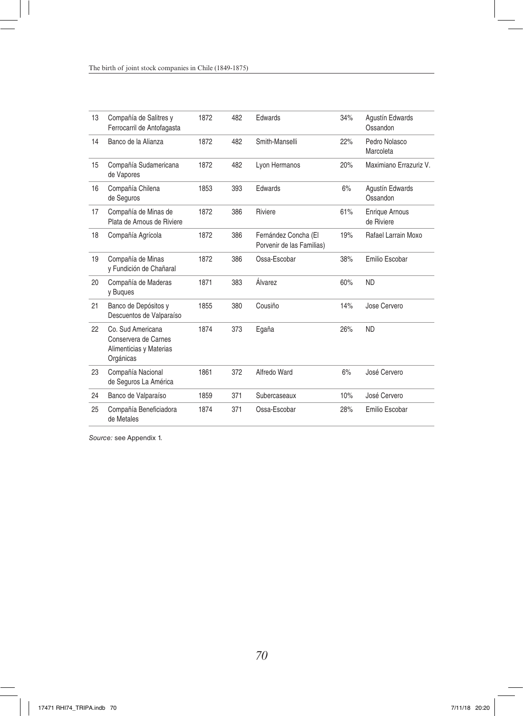| 13 | Compañía de Salitres y<br>Ferrocarril de Antofagasta                              | 1872 | 482 | Edwards                                           | 34% | Agustín Edwards<br>Ossandon         |
|----|-----------------------------------------------------------------------------------|------|-----|---------------------------------------------------|-----|-------------------------------------|
| 14 | Banco de la Alianza                                                               | 1872 | 482 | Smith-Manselli                                    | 22% | Pedro Nolasco<br>Marcoleta          |
| 15 | Compañía Sudamericana<br>de Vapores                                               | 1872 | 482 | Lyon Hermanos                                     | 20% | Maximiano Errazuriz V.              |
| 16 | Compañía Chilena<br>de Seguros                                                    | 1853 | 393 | Edwards                                           | 6%  | Agustín Edwards<br>Ossandon         |
| 17 | Compañía de Minas de<br>Plata de Arnous de Riviere                                | 1872 | 386 | Riviere                                           | 61% | <b>Enrique Arnous</b><br>de Riviere |
| 18 | Compañía Agrícola                                                                 | 1872 | 386 | Fernández Concha (El<br>Porvenir de las Familias) | 19% | Rafael Larrain Moxo                 |
| 19 | Compañía de Minas<br>y Fundición de Chañaral                                      | 1872 | 386 | Ossa-Escobar                                      | 38% | Emilio Escobar                      |
| 20 | Compañía de Maderas<br>y Bugues                                                   | 1871 | 383 | Álvarez                                           | 60% | <b>ND</b>                           |
| 21 | Banco de Depósitos y<br>Descuentos de Valparaíso                                  | 1855 | 380 | Cousiño                                           | 14% | Jose Cervero                        |
| 22 | Co. Sud Americana<br>Conservera de Carnes<br>Alimenticias y Materias<br>Orgánicas | 1874 | 373 | Egaña                                             | 26% | <b>ND</b>                           |
| 23 | Compañía Nacional<br>de Seguros La América                                        | 1861 | 372 | Alfredo Ward                                      | 6%  | José Cervero                        |
| 24 | Banco de Valparaíso                                                               | 1859 | 371 | Subercaseaux                                      | 10% | José Cervero                        |
| 25 | Compañía Beneficiadora<br>de Metales                                              | 1874 | 371 | Ossa-Escobar                                      | 28% | Emilio Escobar                      |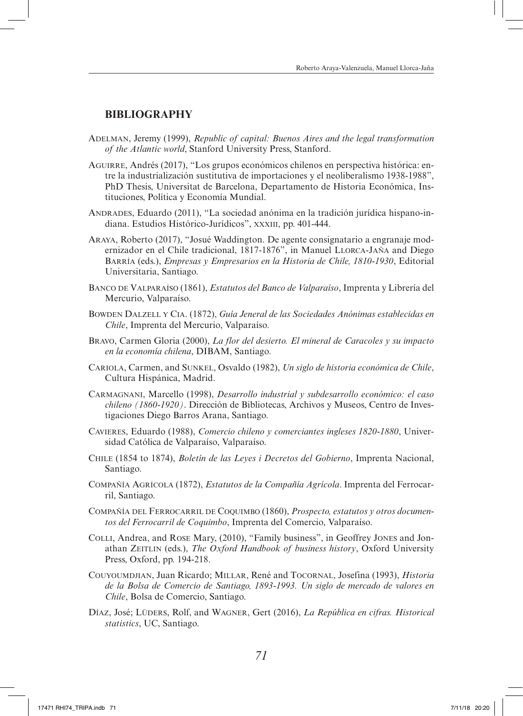### **BIBLIOGRAPHY**

- Adelman, Jeremy (1999), *Republic of capital: Buenos Aires and the legal transformation of the Atlantic world*, Stanford University Press, Stanford.
- Aguirre, Andrés (2017), "Los grupos económicos chilenos en perspectiva histórica: entre la industrialización sustitutiva de importaciones y el neoliberalismo 1938-1988", PhD Thesis, Universitat de Barcelona, Departamento de Historia Económica, Instituciones, Política y Economía Mundial.
- Andrades, Eduardo (2011), "La sociedad anónima en la tradición jurídica hispano-indiana. Estudios Histórico-Jurídicos", xxxiii, pp. 401-444.
- Araya, Roberto (2017), "Josué Waddington. De agente consignatario a engranaje modernizador en el Chile tradicional, 1817-1876", in Manuel Llorca-Jaña and Diego Barría (eds.), *Empresas y Empresarios en la Historia de Chile, 1810-1930*, Editorial Universitaria, Santiago.
- Banco de Valparaíso (1861), *Estatutos del Banco de Valparaíso*, Imprenta y Librería del Mercurio, Valparaíso.
- Bowden Dalzell y Cia. (1872), *Guía Jeneral de las Sociedades Anónimas establecidas en Chile*, Imprenta del Mercurio, Valparaíso.
- Bravo, Carmen Gloria (2000), *La flor del desierto. El mineral de Caracoles y su impacto en la economía chilena*, DIBAM, Santiago.
- Cariola, Carmen, and Sunkel, Osvaldo (1982), *Un siglo de historia económica de Chile*, Cultura Hispánica, Madrid.
- Carmagnani, Marcello (1998), *Desarrollo industrial y subdesarrollo económico: el caso chileno (1860-1920)*. Dirección de Bibliotecas, Archivos y Museos, Centro de Investigaciones Diego Barros Arana, Santiago.
- Cavieres, Eduardo (1988), *Comercio chileno y comerciantes ingleses 1820-1880*, Universidad Católica de Valparaíso, Valparaíso.
- Chile (1854 to 1874), *Boletín de las Leyes i Decretos del Gobierno*, Imprenta Nacional, Santiago.
- Compañía Agrícola (1872), *Estatutos de la Compañía Agrícola*. Imprenta del Ferrocarril, Santiago.
- Compañía del Ferrocarril de Coquimbo (1860), *Prospecto, estatutos y otros documentos del Ferrocarril de Coquimbo*, Imprenta del Comercio, Valparaíso.
- Colli, Andrea, and Rose Mary, (2010), "Family business", in Geoffrey Jones and Jonathan ZEITLIN (eds.), *The Oxford Handbook of business history*, Oxford University Press, Oxford, pp. 194-218.
- Couyoumdjian, Juan Ricardo; Millar, René and Tocornal, Josefina (1993), *Historia de la Bolsa de Comercio de Santiago, 1893-1993. Un siglo de mercado de valores en Chile*, Bolsa de Comercio, Santiago.
- Díaz, José; Lüders, Rolf, and Wagner, Gert (2016), *La República en cifras. Historical statistics*, UC, Santiago.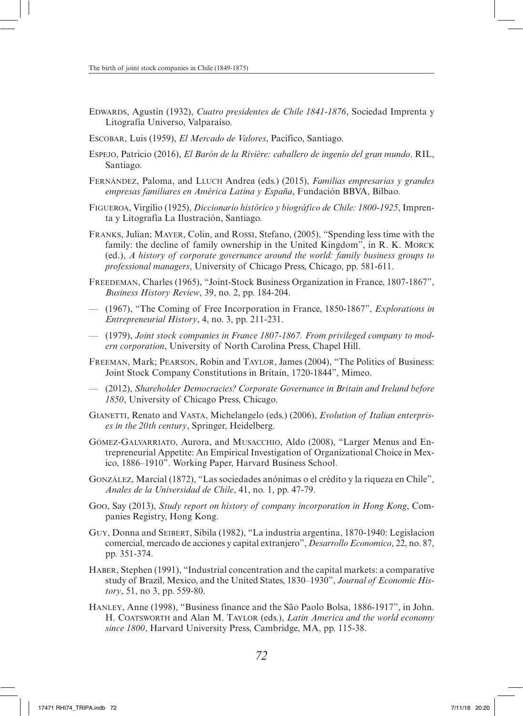- Edwards, Agustín (1932), *Cuatro presidentes de Chile 1841-1876*, Sociedad Imprenta y Litografía Universo, Valparaíso.
- Escobar, Luis (1959), *El Mercado de Valores*, Pacífico, Santiago.
- Espejo, Patricio (2016), *El Barón de la Rivière: caballero de ingenio del gran mundo*. RIL, Santiago.
- Fernández, Paloma, and Lluch Andrea (eds.) (2015), *Familias empresarias y grandes empresas familiares en América Latina y España*, Fundación BBVA, Bilbao.
- Figueroa, Virgilio (1925), *Diccionario histórico y biográfico de Chile: 1800-1925*, Imprenta y Litografía La Ilustración, Santiago.
- Franks, Julian; Mayer, Colin, and Rossi, Stefano, (2005), "Spending less time with the family: the decline of family ownership in the United Kingdom", in R. K. Morck (ed.), *A history of corporate governance around the world: family business groups to professional managers*, University of Chicago Press, Chicago, pp. 581-611.
- Freedeman, Charles (1965), "Joint-Stock Business Organization in France, 1807-1867", *Business History Review*, 39, no. 2, pp. 184-204.
- (1967), "The Coming of Free Incorporation in France, 1850-1867", *Explorations in Entrepreneurial History*, 4, no. 3, pp. 211-231.
- (1979), *Joint stock companies in France 1807-1867. From privileged company to modern corporation*, University of North Carolina Press, Chapel Hill.
- Freeman, Mark; Pearson, Robin and Taylor, James (2004), "The Politics of Business: Joint Stock Company Constitutions in Britain, 1720-1844", Mimeo.
- (2012), *Shareholder Democracies? Corporate Governance in Britain and Ireland before 1850*, University of Chicago Press, Chicago.
- Gianetti, Renato and Vasta, Michelangelo (eds.) (2006), *Evolution of Italian enterprises in the 20th century*, Springer, Heidelberg.
- Gómez-Galvarriato, Aurora, and Musacchio, Aldo (2008), "Larger Menus and Entrepreneurial Appetite: An Empirical Investigation of Organizational Choice in Mexico, 1886–1910". Working Paper, Harvard Business School.
- González, Marcial (1872), "Las sociedades anónimas o el crédito y la riqueza en Chile", *Anales de la Universidad de Chile*, 41, no. 1, pp. 47-79.
- Goo, Say (2013), *Study report on history of company incorporation in Hong Kong*, Companies Registry, Hong Kong.
- Guy, Donna and Seibert, Sibila (1982), "La industria argentina, 1870-1940: Legislacion comercial, mercado de acciones y capital extranjero", *Desarrollo Economico*, 22, no. 87, pp. 351-374.
- Haber, Stephen (1991), "Industrial concentration and the capital markets: a comparative study of Brazil, Mexico, and the United States, 1830–1930", *Journal of Economic History*, 51, no 3, pp. 559-80.
- Hanley, Anne (1998), "Business finance and the São Paolo Bolsa, 1886-1917", in John. H. Coatsworth and Alan M. Taylor (eds.), *Latin America and the world economy since 1800*, Harvard University Press, Cambridge, MA, pp. 115-38.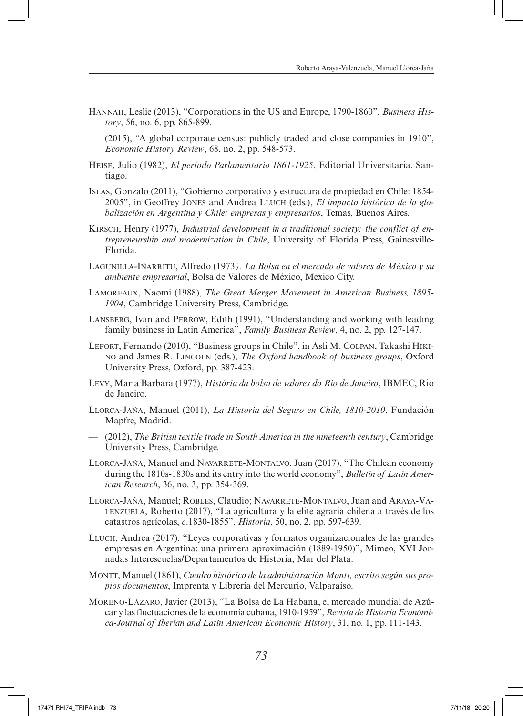- Hannah, Leslie (2013), "Corporations in the US and Europe, 1790-1860", *Business History*, 56, no. 6, pp. 865-899.
- (2015), "A global corporate census: publicly traded and close companies in 1910", *Economic History Review*, 68, no. 2, pp. 548-573.
- Heise, Julio (1982), *El período Parlamentario 1861-1925*, Editorial Universitaria, Santiago.
- Islas, Gonzalo (2011), "Gobierno corporativo y estructura de propiedad en Chile: 1854- 2005", in Geoffrey Jones and Andrea Lluch (eds.), *El impacto histórico de la globalización en Argentina y Chile: empresas y empresarios*, Temas, Buenos Aires.
- Kirsch, Henry (1977), *Industrial development in a traditional society: the conflict of entrepreneurship and modernization in Chile*, University of Florida Press, Gainesville-Florida.
- Lagunilla-Iñarritu, Alfredo (1973*). La Bolsa en el mercado de valores de México y su ambiente empresarial*, Bolsa de Valores de México, Mexico City.
- Lamoreaux, Naomi (1988), *The Great Merger Movement in American Business, 1895- 1904*, Cambridge University Press, Cambridge.
- Lansberg, Ivan and Perrow, Edith (1991), "Understanding and working with leading family business in Latin America", *Family Business Review*, 4, no. 2, pp. 127-147.
- Lefort, Fernando (2010), "Business groups in Chile", in Asli M. Colpan, Takashi Hikino and James R. Lincoln (eds.), *The Oxford handbook of business groups*, Oxford University Press, Oxford, pp. 387-423.
- Levy, Maria Barbara (1977), *História da bolsa de valores do Rio de Janeiro*, IBMEC, Rio de Janeiro.
- Llorca-Jaña, Manuel (2011), *La Historia del Seguro en Chile, 1810-2010*, Fundación Mapfre, Madrid.
- (2012), *The British textile trade in South America in the nineteenth century*, Cambridge University Press, Cambridge.
- Llorca-Jaña, Manuel and Navarrete-Montalvo, Juan (2017), "The Chilean economy during the 1810s-1830s and its entry into the world economy", *Bulletin of Latin American Research*, 36, no. 3, pp. 354-369.
- Llorca-Jaña, Manuel; Robles, Claudio; Navarrete-Montalvo, Juan and Araya-Valenzuela, Roberto (2017), "La agricultura y la elite agraria chilena a través de los catastros agrícolas, *c*.1830-1855", *Historia*, 50, no. 2, pp. 597-639.
- Lluch, Andrea (2017). "Leyes corporativas y formatos organizacionales de las grandes empresas en Argentina: una primera aproximación (1889-1950)", Mimeo, XVI Jornadas Interescuelas/Departamentos de Historia, Mar del Plata.
- Montt, Manuel (1861), *Cuadro histórico de la administración Montt, escrito según sus propios documentos*, Imprenta y Librería del Mercurio, Valparaíso.
- Moreno-Lázaro, Javier (2013), "La Bolsa de La Habana, el mercado mundial de Azúcar y las fluctuaciones de la economía cubana, 1910-1959", *Revista de Historia Económica-Journal of Iberian and Latin American Economic History*, 31, no. 1, pp. 111-143.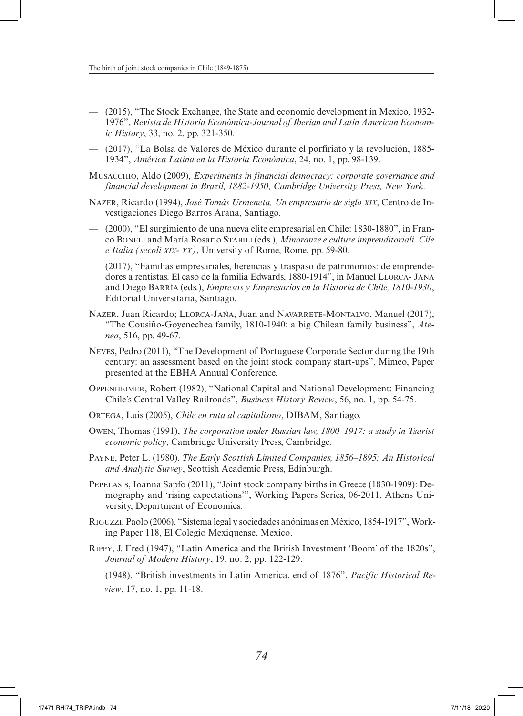- (2015), "The Stock Exchange, the State and economic development in Mexico, 1932- 1976", *Revista de Historia Económica-Journal of Iberian and Latin American Economic History*, 33, no. 2, pp. 321-350.
- (2017), "La Bolsa de Valores de México durante el porfiriato y la revolución, 1885- 1934", *América Latina en la Historia Económica*, 24, no. 1, pp. 98-139.
- Musacchio, Aldo (2009), *Experiments in financial democracy: corporate governance and financial development in Brazil, 1882-1950, Cambridge University Press, New York.*
- Nazer, Ricardo (1994), *José Tomás Urmeneta, Un empresario de siglo xix*, Centro de Investigaciones Diego Barros Arana, Santiago.
- (2000), "El surgimiento de una nueva elite empresarial en Chile: 1830-1880", in Franco Boneli and María Rosario Stabili (eds.), *Minoranze e culture imprenditoriali. Cile e Italia (secoli xix- xx)*, University of Rome, Rome, pp. 59-80.
- (2017), "Familias empresariales, herencias y traspaso de patrimonios: de emprendedores a rentistas. El caso de la familia Edwards, 1880-1914", in Manuel Llorca- Jaña and Diego Barría (eds.), *Empresas y Empresarios en la Historia de Chile, 1810-1930*, Editorial Universitaria, Santiago.
- Nazer, Juan Ricardo; Llorca-Jaña, Juan and Navarrete-Montalvo, Manuel (2017), "The Cousiño-Goyenechea family, 1810-1940: a big Chilean family business", *Atenea*, 516, pp. 49-67.
- Neves, Pedro (2011), "The Development of Portuguese Corporate Sector during the 19th century: an assessment based on the joint stock company start-ups", Mimeo, Paper presented at the EBHA Annual Conference.
- Oppenheimer, Robert (1982), "National Capital and National Development: Financing Chile's Central Valley Railroads", *Business History Review*, 56, no. 1, pp. 54-75.
- Ortega, Luis (2005), *Chile en ruta al capitalismo*, DIBAM, Santiago.
- Owen, Thomas (1991), *The corporation under Russian law, 1800–1917: a study in Tsarist economic policy*, Cambridge University Press, Cambridge.
- Payne, Peter L. (1980), *The Early Scottish Limited Companies, 1856–1895: An Historical and Analytic Survey*, Scottish Academic Press, Edinburgh.
- Pepelasis, Ioanna Sapfo (2011), "Joint stock company births in Greece (1830-1909): Demography and 'rising expectations'", Working Papers Series, 06-2011, Athens University, Department of Economics.
- Riguzzi, Paolo (2006), "Sistema legal y sociedades anónimas en México, 1854-1917", Working Paper 118, El Colegio Mexiquense, Mexico.
- Rippy, J. Fred (1947), "Latin America and the British Investment 'Boom' of the 1820s", *Journal of Modern History*, 19, no. 2, pp. 122-129.
- (1948), "British investments in Latin America, end of 1876", *Pacific Historical Review*, 17, no. 1, pp. 11-18.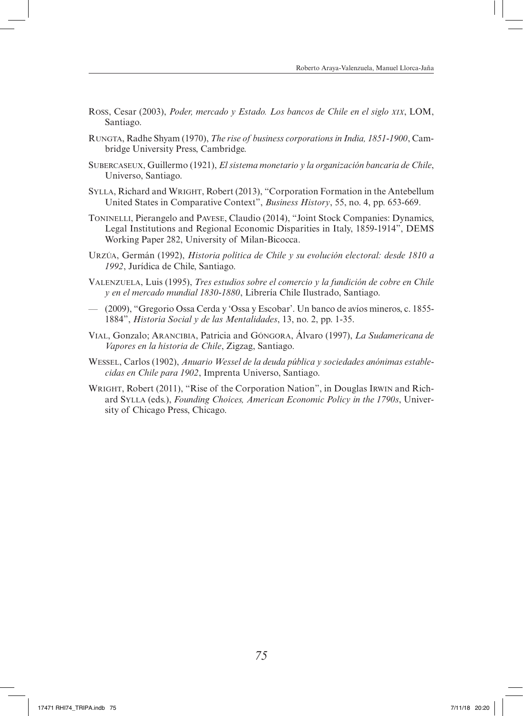- Ross, Cesar (2003), *Poder, mercado y Estado. Los bancos de Chile en el siglo xix*, LOM, Santiago.
- Rungta, Radhe Shyam (1970), *The rise of business corporations in India, 1851-1900*, Cambridge University Press, Cambridge.
- Subercaseux, Guillermo (1921), *El sistema monetario y la organización bancaria de Chile*, Universo, Santiago.
- Sylla, Richard and Wright, Robert (2013), "Corporation Formation in the Antebellum United States in Comparative Context", *Business History*, 55, no. 4, pp. 653-669.
- Toninelli, Pierangelo and Pavese, Claudio (2014), "Joint Stock Companies: Dynamics, Legal Institutions and Regional Economic Disparities in Italy, 1859-1914", DEMS Working Paper 282, University of Milan-Bicocca.
- Urzúa, Germán (1992), *Historia política de Chile y su evolución electoral: desde 1810 a 1992*, Jurídica de Chile, Santiago.
- Valenzuela, Luis (1995), *Tres estudios sobre el comercio y la fundición de cobre en Chile y en el mercado mundial 1830-1880*, Librería Chile Ilustrado, Santiago.
- (2009), "Gregorio Ossa Cerda y 'Ossa y Escobar'. Un banco de avíos mineros, c. 1855- 1884", *Historia Social y de las Mentalidades*, 13, no. 2, pp. 1-35.
- Vial, Gonzalo; Arancibia, Patricia and Góngora, Álvaro (1997), *La Sudamericana de Vapores en la historia de Chile*, Zigzag, Santiago.
- Wessel, Carlos (1902), *Anuario Wessel de la deuda pública y sociedades anónimas establecidas en Chile para 1902*, Imprenta Universo, Santiago.
- WRIGHT, Robert (2011), "Rise of the Corporation Nation", in Douglas Irwin and Richard Sylla (eds.), *Founding Choices, American Economic Policy in the 1790s*, University of Chicago Press, Chicago.